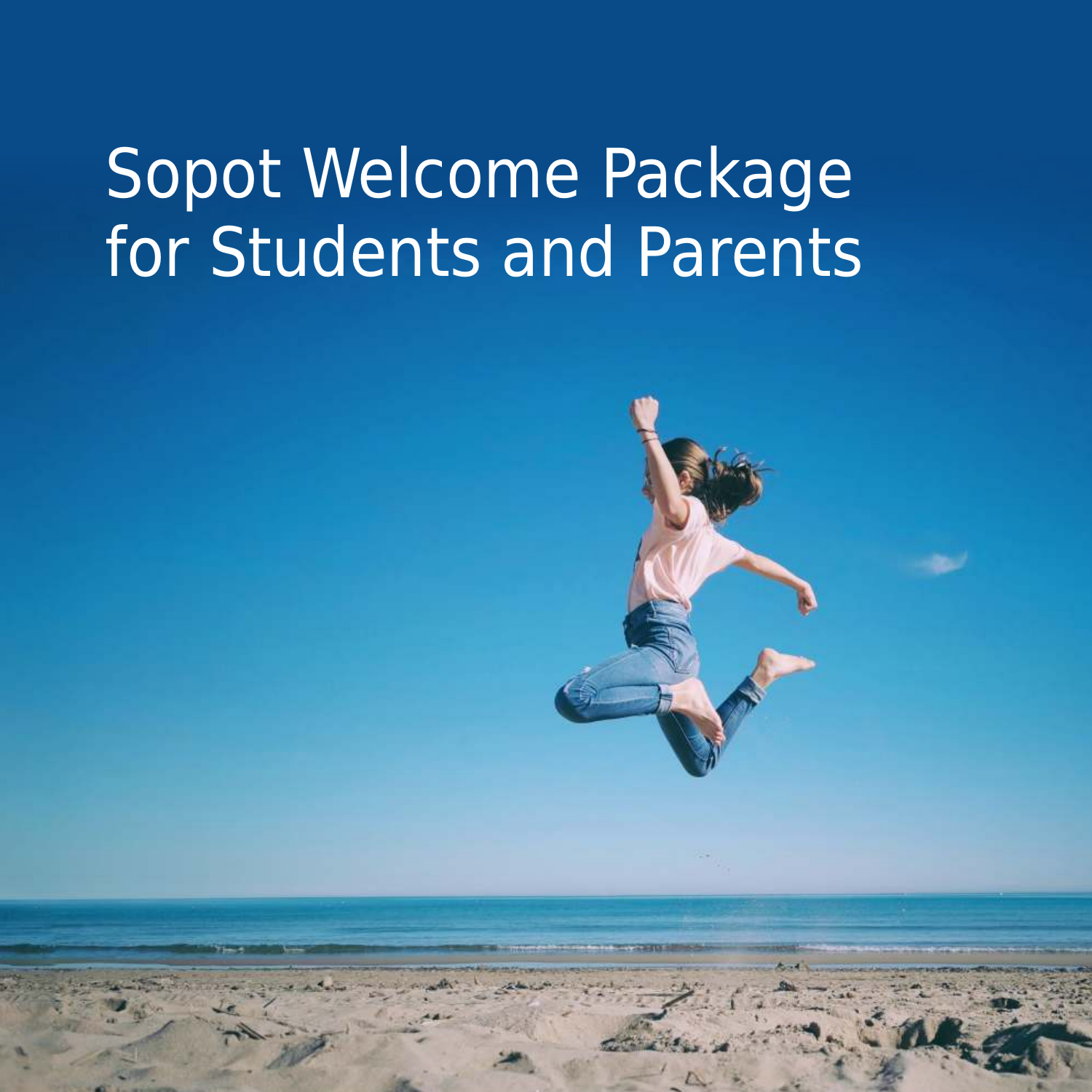# Sopot Welcome Package for Students and Parents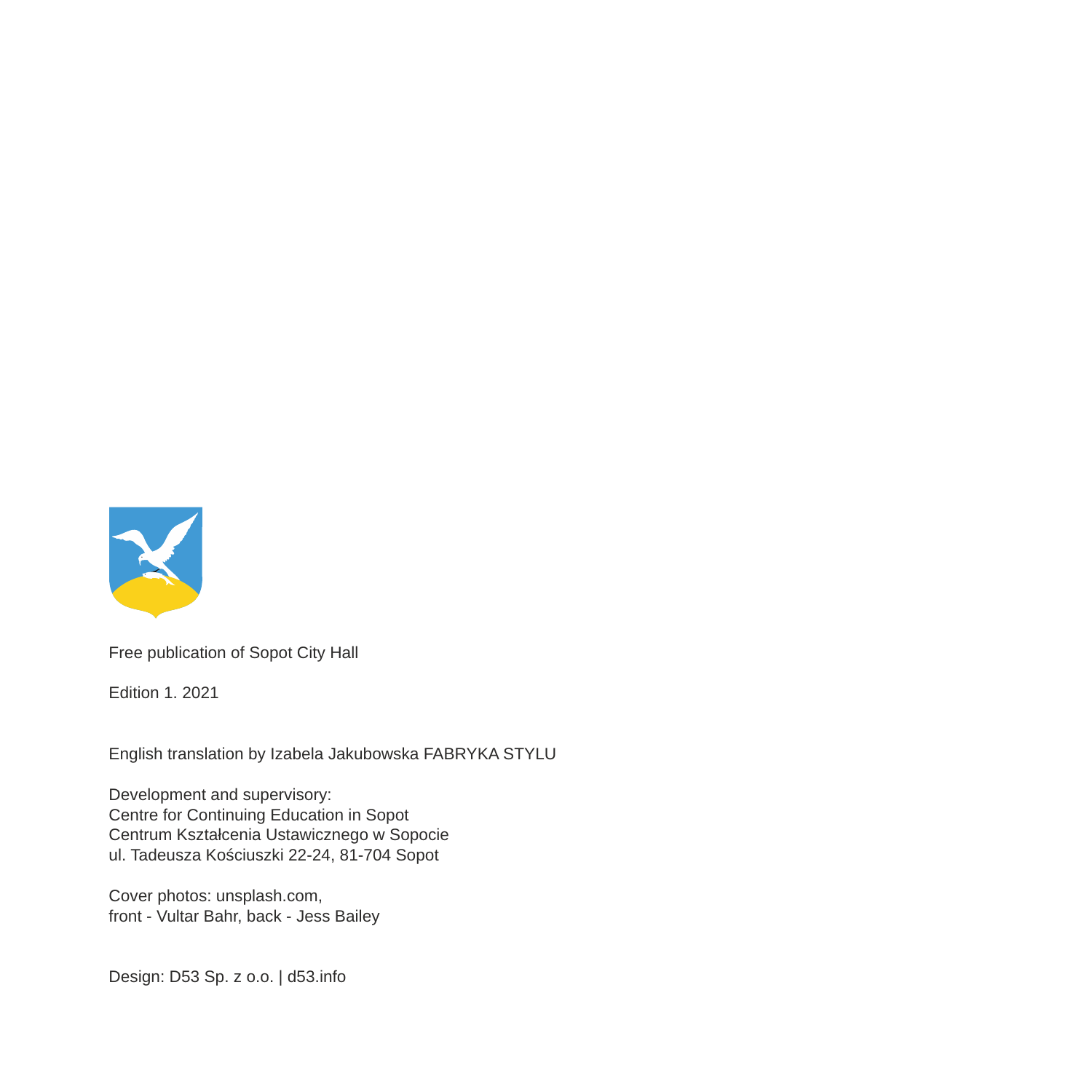

Free publication of Sopot City Hall

Edition 1. 2021

English translation by Izabela Jakubowska FABRYKA STYLU

Development and supervisory: Centre for Continuing Education in Sopot Centrum Kształcenia Ustawicznego w Sopocie ul. Tadeusza Kościuszki 22-24, 81-704 Sopot

Cover photos: unsplash.com, front - Vultar Bahr, back - Jess Bailey

Design: D53 Sp. z o.o. | d53.info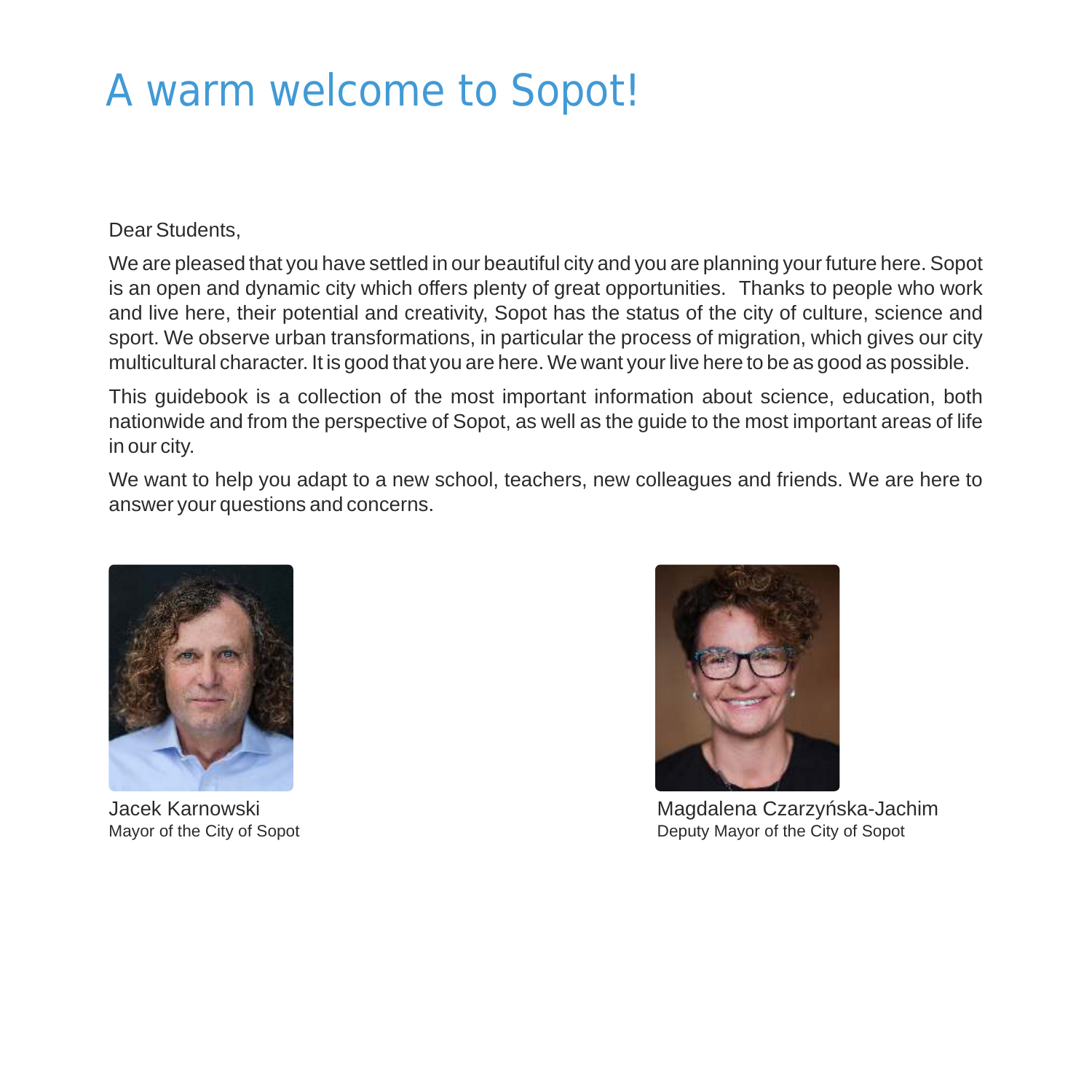# A warm welcome to Sopot!

### Dear Students,

We are pleased that you have settled in our beautiful city and you are planning your future here. Sopot is an open and dynamic city which offers plenty of great opportunities. Thanks to people who work and live here, their potential and creativity, Sopot has the status of the city of culture, science and sport. We observe urban transformations, in particular the process of migration, which gives our city multicultural character. It is good that you are here. We want your live here to be as good as possible.

This guidebook is a collection of the most important information about science, education, both nationwide and from the perspective of Sopot, as well as the guide to the most important areas of life in our city.

We want to help you adapt to a new school, teachers, new colleagues and friends. We are here to answer your questions and concerns.





Jacek Karnowski Magdalena Czarzyńska-Jachim Mayor of the City of Sopot **Deputy Mayor of the City of Sopot** Deputy Mayor of the City of Sopot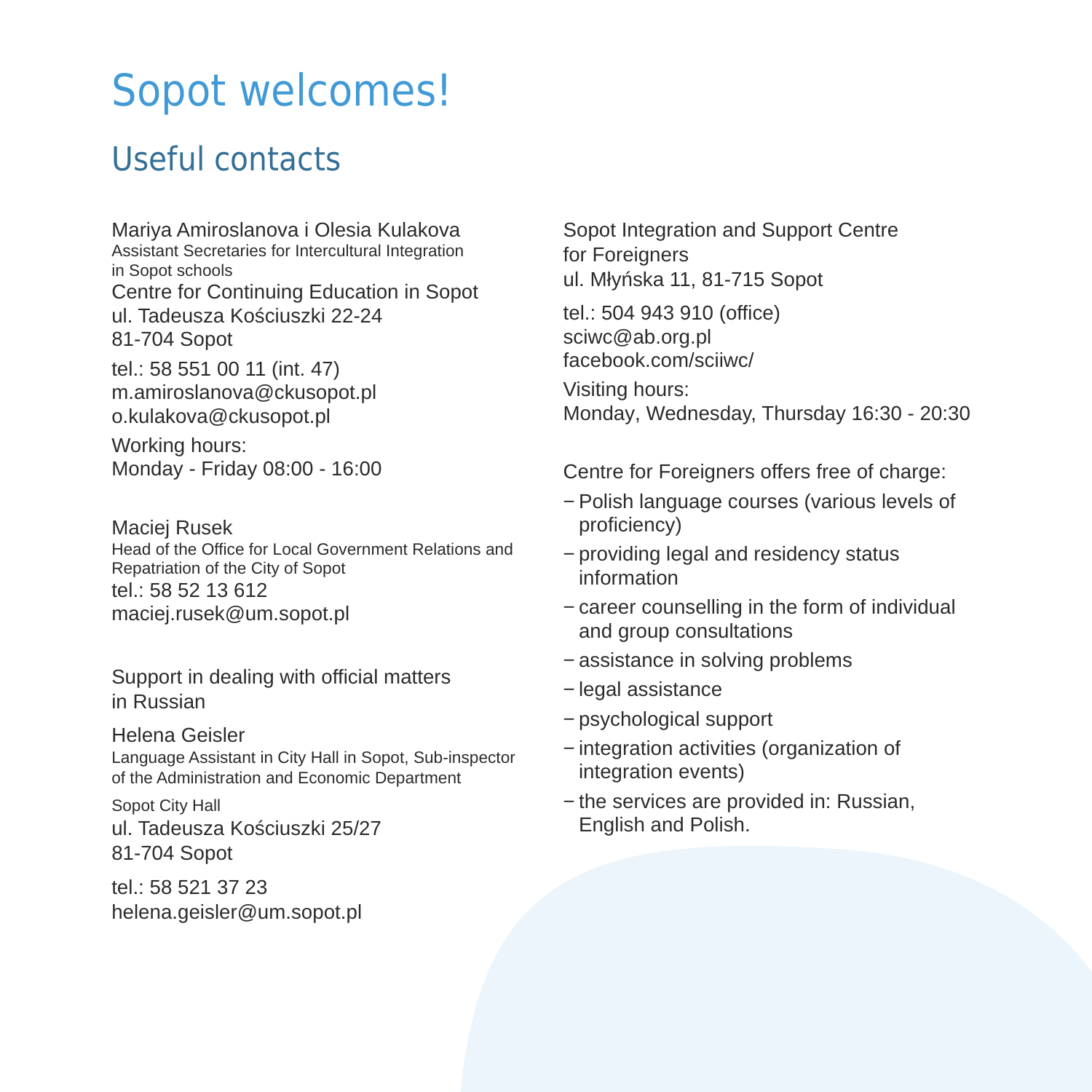# Sopot welcomes!

# Useful contacts

Mariya Amiroslanova i Olesia Kulakova Assistant Secretaries for Intercultural Integration in Sopot schools Centre for Continuing Education in Sopot ul. Tadeusza Kościuszki 22-24 81-704 Sopot tel.: 58 551 00 11 (int. 47) m.amiroslanova@ckusopot.pl

o.kulakova@ckusopot.pl

Working hours: Monday - Friday 08:00 - 16:00

Maciej Rusek Head of the Office for Local Government Relations and Repatriation of the City of Sopot tel.: 58 52 13 612 maciej.rusek@um.sopot.pl

Support in dealing with official matters in Russian

Helena Geisler Language Assistant in City Hall in Sopot, Sub-inspector of the Administration and Economic Department

Sopot City Hall ul. Tadeusza Kościuszki 25/27 81-704 Sopot

tel.: 58 521 37 23 helena.geisler@um.sopot.pl Sopot Integration and Support Centre for Foreigners ul. Młyńska 11, 81-715 Sopot

tel.: 504 943 910 (office) sciwc@ab.org.pl facebook.com/sciiwc/

Visiting hours: Monday, Wednesday, Thursday 16:30 - 20:30

Centre for Foreigners offers free of charge:

- − Polish language courses (various levels of proficiency)
- − providing legal and residency status information
- − career counselling in the form of individual and group consultations
- − assistance in solving problems
- − legal assistance
- − psychological support
- − integration activities (organization of integration events)
- − the services are provided in: Russian, English and Polish.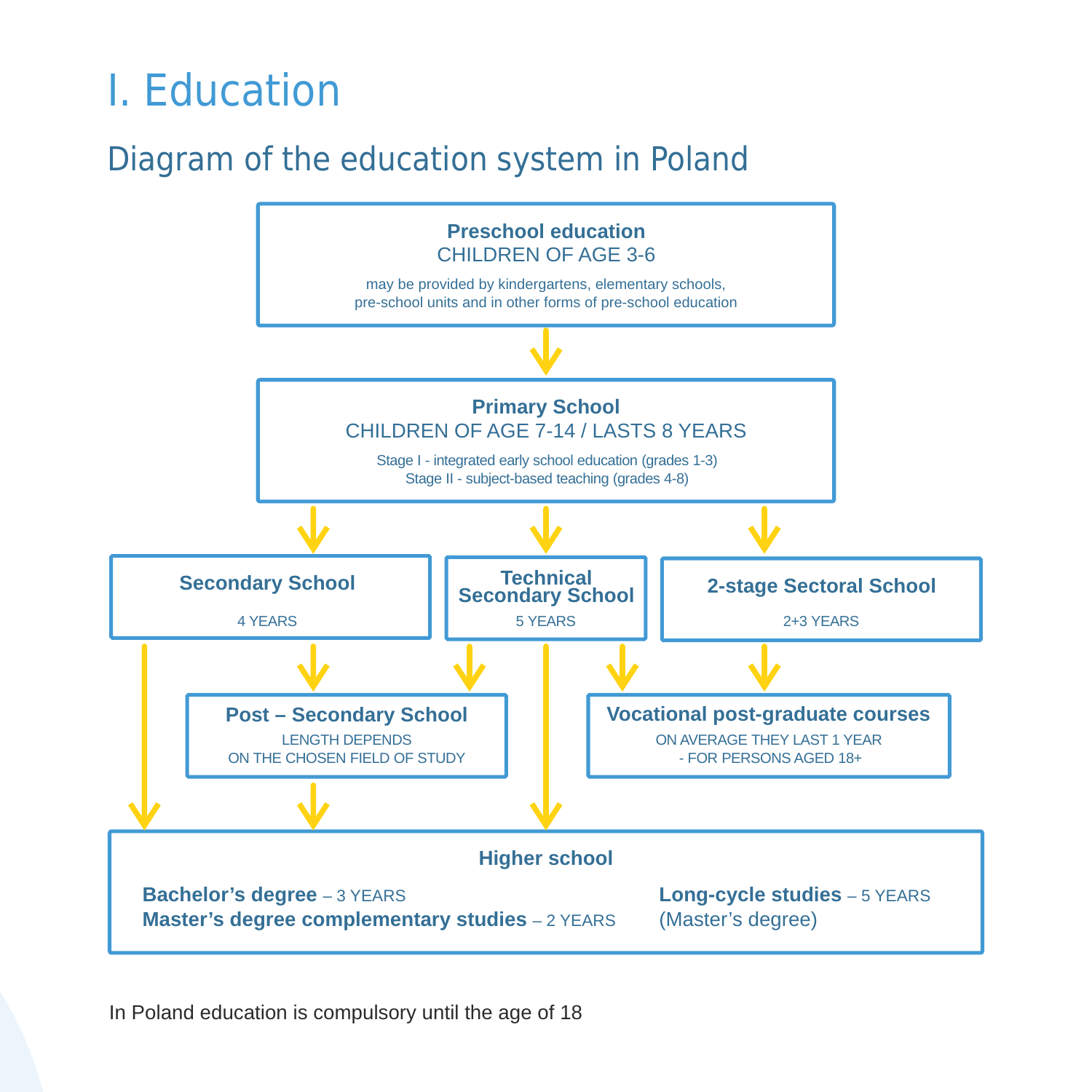# I. Education

# Diagram of the education system in Poland



In Poland education is compulsory until the age of 18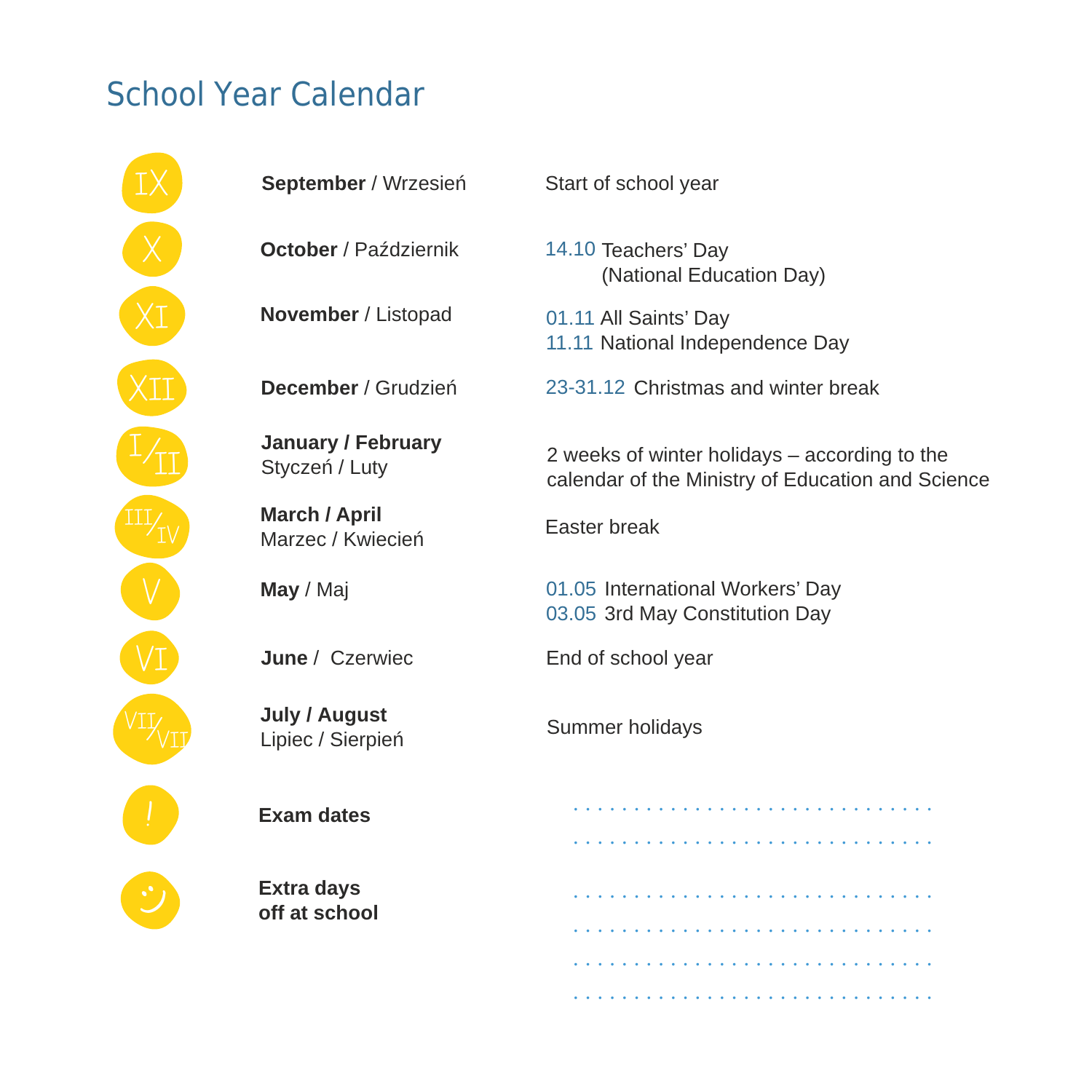# School Year Calendar



| September / Wrzesień                        | Start of school year                                                                               |  |  |
|---------------------------------------------|----------------------------------------------------------------------------------------------------|--|--|
| October / Październik                       | 14.10 Teachers' Day<br>(National Education Day)                                                    |  |  |
| November / Listopad                         | 01.11 All Saints' Day<br>11.11 National Independence Day                                           |  |  |
| December / Grudzień                         | 23-31.12 Christmas and winter break                                                                |  |  |
| <b>January / February</b><br>Styczeń / Luty | 2 weeks of winter holidays – according to the<br>calendar of the Ministry of Education and Science |  |  |
| <b>March / April</b><br>Marzec / Kwiecień   | Easter break                                                                                       |  |  |
| May / Maj                                   | 01.05 International Workers' Day<br>03.05 3rd May Constitution Day                                 |  |  |
| June / Czerwiec                             | End of school year                                                                                 |  |  |
| July / August<br>Lipiec / Sierpień          | Summer holidays                                                                                    |  |  |
| <b>Exam dates</b>                           |                                                                                                    |  |  |
| <b>Extra days</b><br>off at school          |                                                                                                    |  |  |
|                                             |                                                                                                    |  |  |

. . . . . . . . . . . . . . . . . . . . . . . . . . . . . .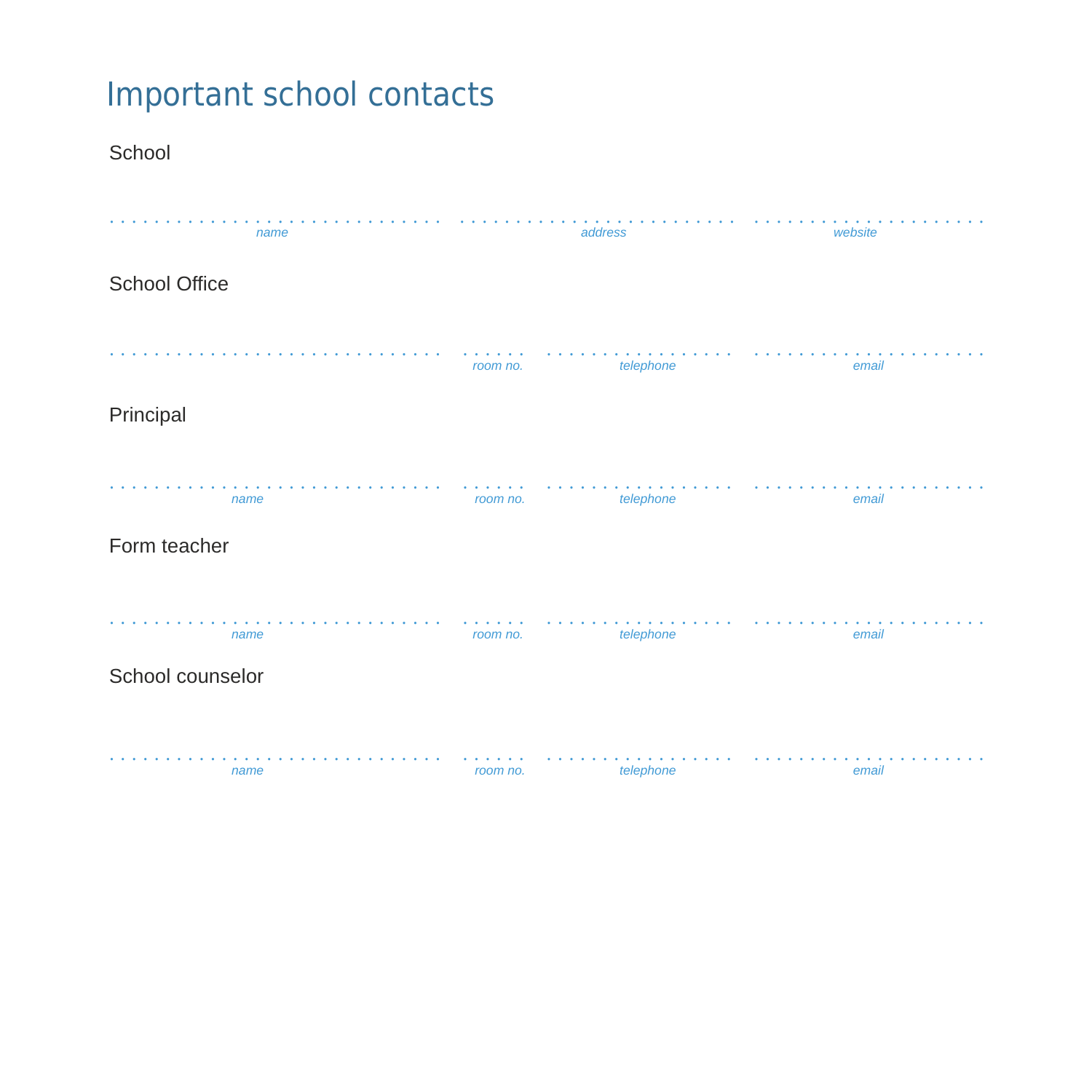# Important school contacts

School

| name             |          | address   | website |
|------------------|----------|-----------|---------|
| School Office    |          |           |         |
|                  | room no. | telephone | email   |
| Principal        |          |           |         |
| name             | room no. | telephone | email   |
| Form teacher     |          |           |         |
| name             | room no. | telephone | email   |
| School counselor |          |           |         |
| name             | room no. | telephone | email   |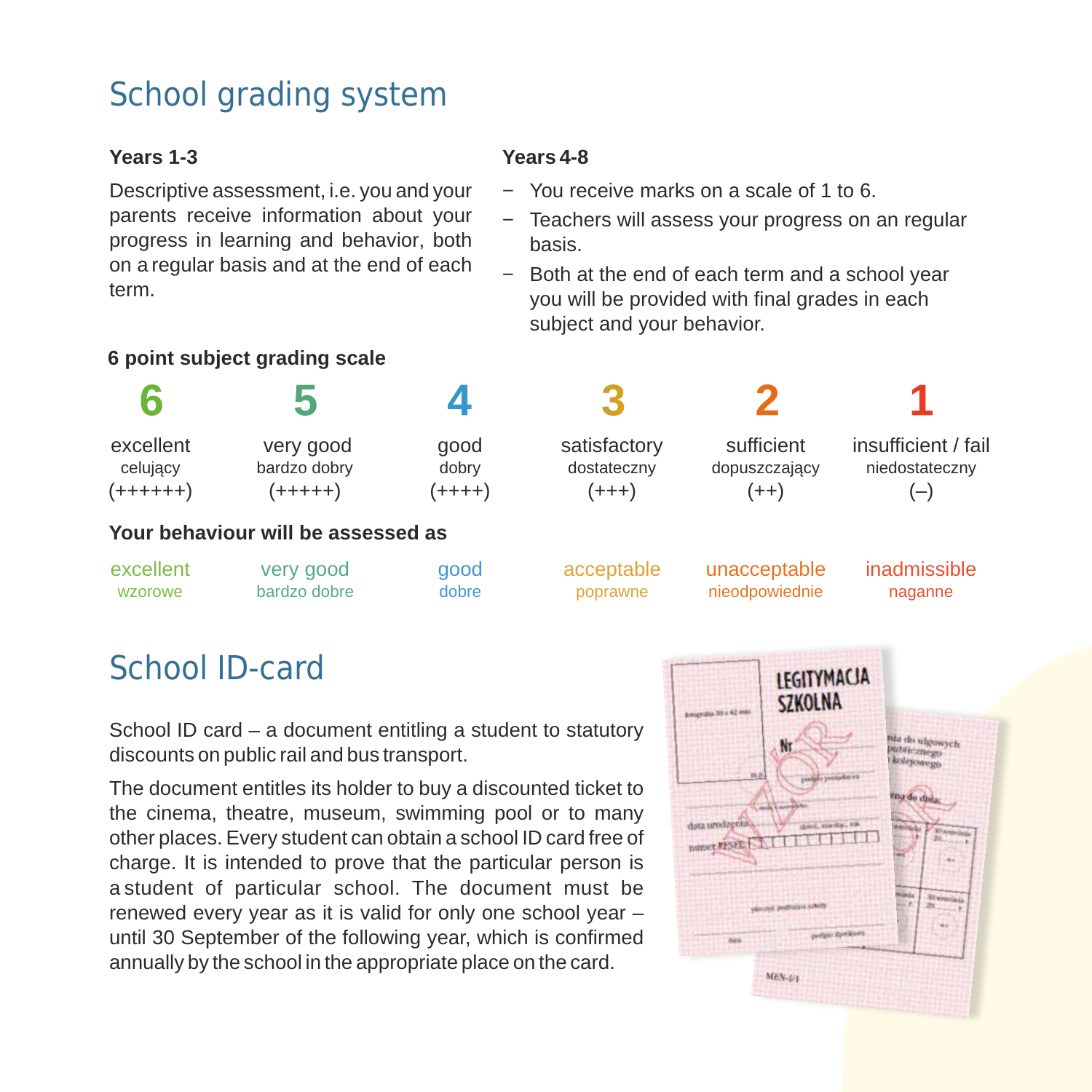# School grading system

#### **Years 1-3**

Descriptive assessment, i.e. you and your parents receive information about your progress in learning and behavior, both on a regular basis and at the end of each term.

### **6 point subject grading scale**

#### **Years 4-8**

- − You receive marks on a scale of 1 to 6.
- − Teachers will assess your progress on an regular basis.
- − Both at the end of each term and a school year you will be provided with final grades in each subject and your behavior.

|            | 5                                  |                 | 3            |                |                     |
|------------|------------------------------------|-----------------|--------------|----------------|---------------------|
| excellent  | very good                          | qood            | satisfactory | sufficient     | insufficient / fail |
| celujący   | bardzo dobry                       | dobry           | dostateczny  | dopuszczający  | niedostateczny      |
| $(++++++)$ | $(+$ + + + + + $)$                 | $(+$ + + + $+)$ | $(+++)$      | $(++)$         | $(-)$               |
|            | Your behaviour will be assessed as |                 |              |                |                     |
| excellent  | very good                          | good            | acceptable   | unacceptable   | inadmissible        |
| wzorowe    | bardzo dobre                       | dobre           | poprawne     | nieodpowiednie | naganne             |

# School ID-card

School ID card – a document entitling a student to statutory discounts on public rail and bus transport.

The document entitles its holder to buy a discounted ticket to the cinema, theatre, museum, swimming pool or to many other places. Every student can obtain a school ID card free of charge. It is intended to prove that the particular person is a student of particular school. The document must be renewed every year as it is valid for only one school year – until 30 September of the following year, which is confirmed annually by the school in the appropriate place on the card.

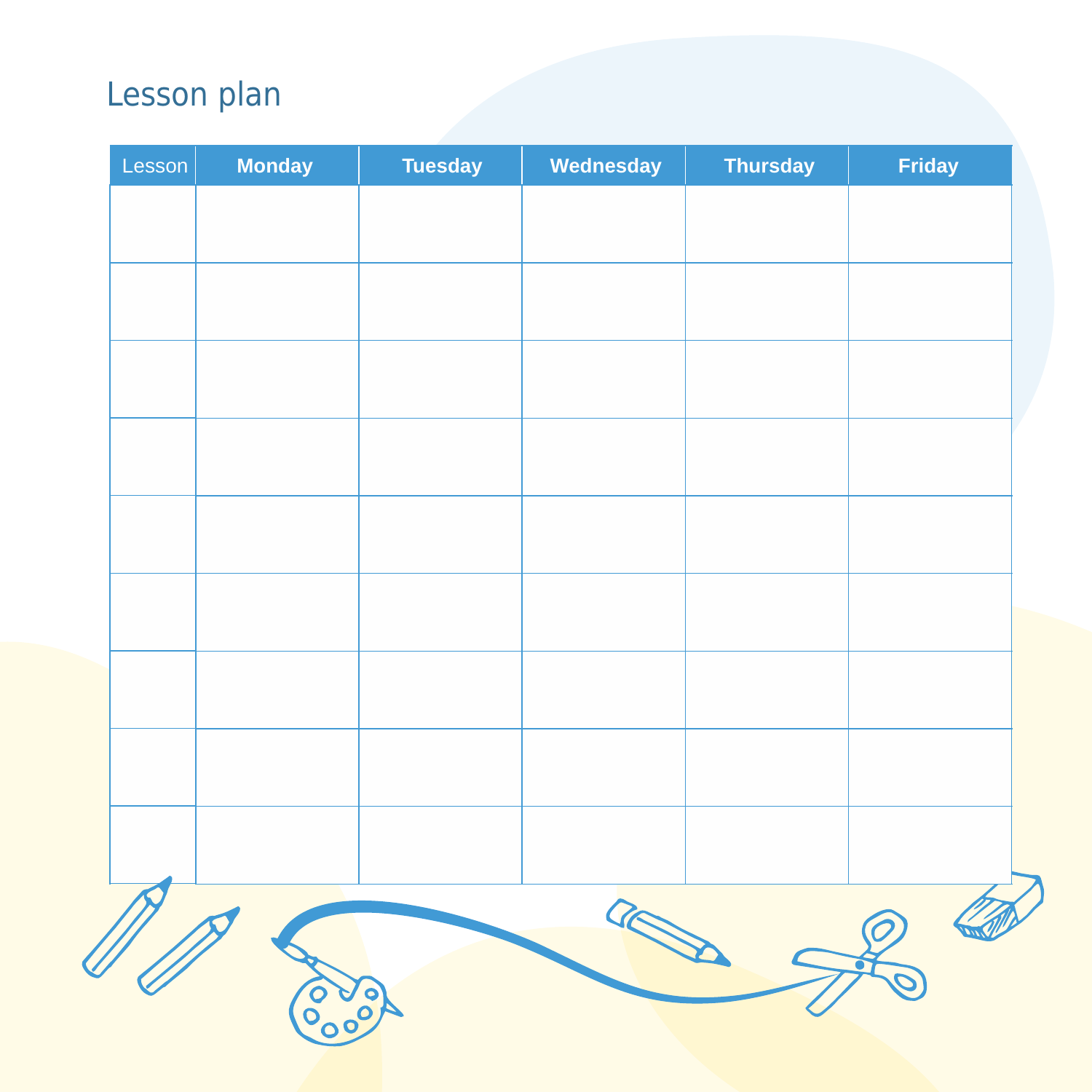# Lesson plan

| Lesson | <b>Monday</b> | <b>Tuesday</b> | Wednesday | <b>Thursday</b> | Friday |
|--------|---------------|----------------|-----------|-----------------|--------|
|        |               |                |           |                 |        |
|        |               |                |           |                 |        |
|        |               |                |           |                 |        |
|        |               |                |           |                 |        |
|        |               |                |           |                 |        |
|        |               |                |           |                 |        |
|        |               |                |           |                 |        |
|        |               |                |           |                 |        |
|        |               |                |           |                 |        |
|        |               |                |           |                 |        |
|        |               |                |           |                 |        |
|        |               |                |           |                 |        |
|        |               |                |           |                 |        |
|        |               |                |           |                 |        |
|        |               |                |           |                 |        |
|        |               |                |           |                 |        |
|        |               |                | a         |                 |        |
|        |               |                |           |                 |        |
|        |               |                |           |                 |        |
|        | OO            |                |           |                 |        |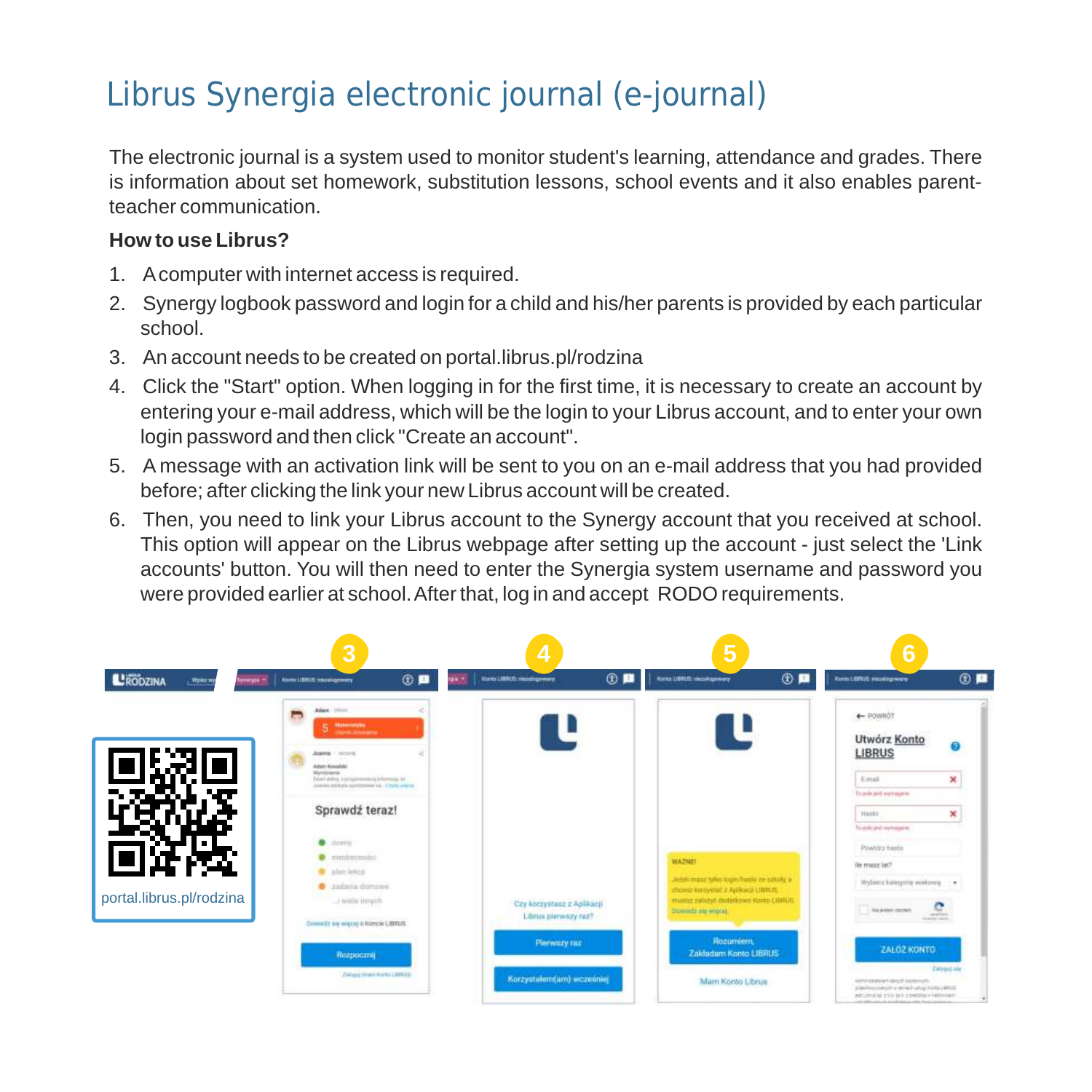# Librus Synergia electronic journal (e-journal)

The electronic journal is a system used to monitor student's learning, attendance and grades. There is information about set homework, substitution lessons, school events and it also enables parentteacher communication.

### **How to use Librus?**

- 1. Acomputer with internet access is required.
- 2. Synergy logbook password and login for a child and his/her parents is provided by each particular school.
- 3. An account needs to be created on portal.librus.pl/rodzina
- 4. Click the "Start" option. When logging in for the first time, it is necessary to create an account by entering your e-mail address, which will be the login to your Librus account, and to enter your own login password and then click "Create an account".
- 5. A message with an activation link will be sent to you on an e-mail address that you had provided before; after clicking the link your new Librus account will be created.
- 6. Then, you need to link your Librus account to the Synergy account that you received at school. This option will appear on the Librus webpage after setting up the account - just select the 'Link accounts' button. You will then need to enter the Synergia system username and password you were provided earlier at school. After that, log in and accept RODO requirements.

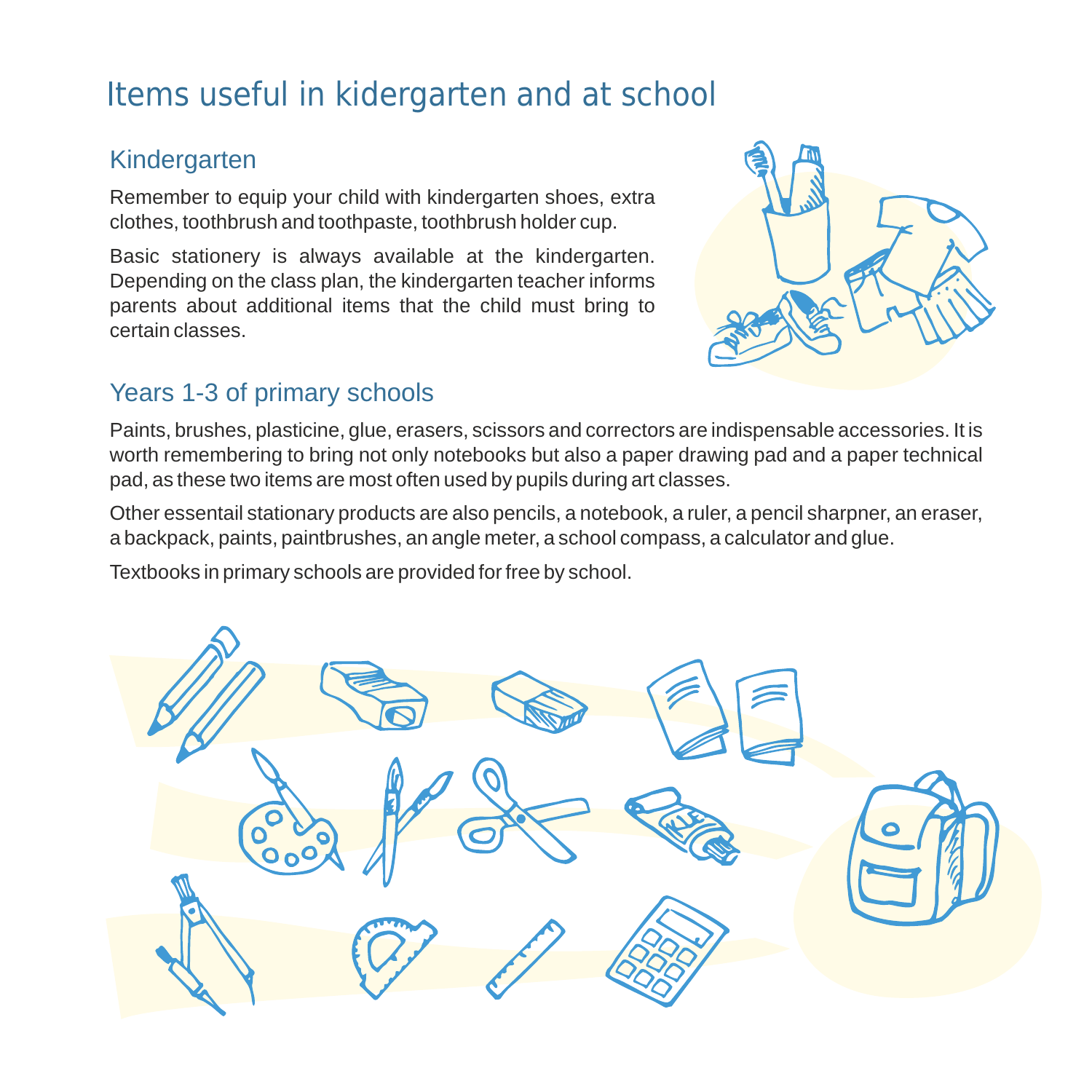# Items useful in kidergarten and at school

## Kindergarten

Remember to equip your child with kindergarten shoes, extra clothes, toothbrush and toothpaste, toothbrush holder cup.

Basic stationery is always available at the kindergarten. Depending on the class plan, the kindergarten teacher informs parents about additional items that the child must bring to certain classes.



## Years 1-3 of primary schools

Paints, brushes, plasticine, glue, erasers, scissors and correctors are indispensable accessories. It is worth remembering to bring not only notebooks but also a paper drawing pad and a paper technical pad, as these two items are most often used by pupils during art classes.

Other essentail stationary products are also pencils, a notebook, a ruler, a pencil sharpner, an eraser, a backpack, paints, paintbrushes, an angle meter, a school compass, a calculator and glue.

Textbooks in primary schools are provided for free by school.

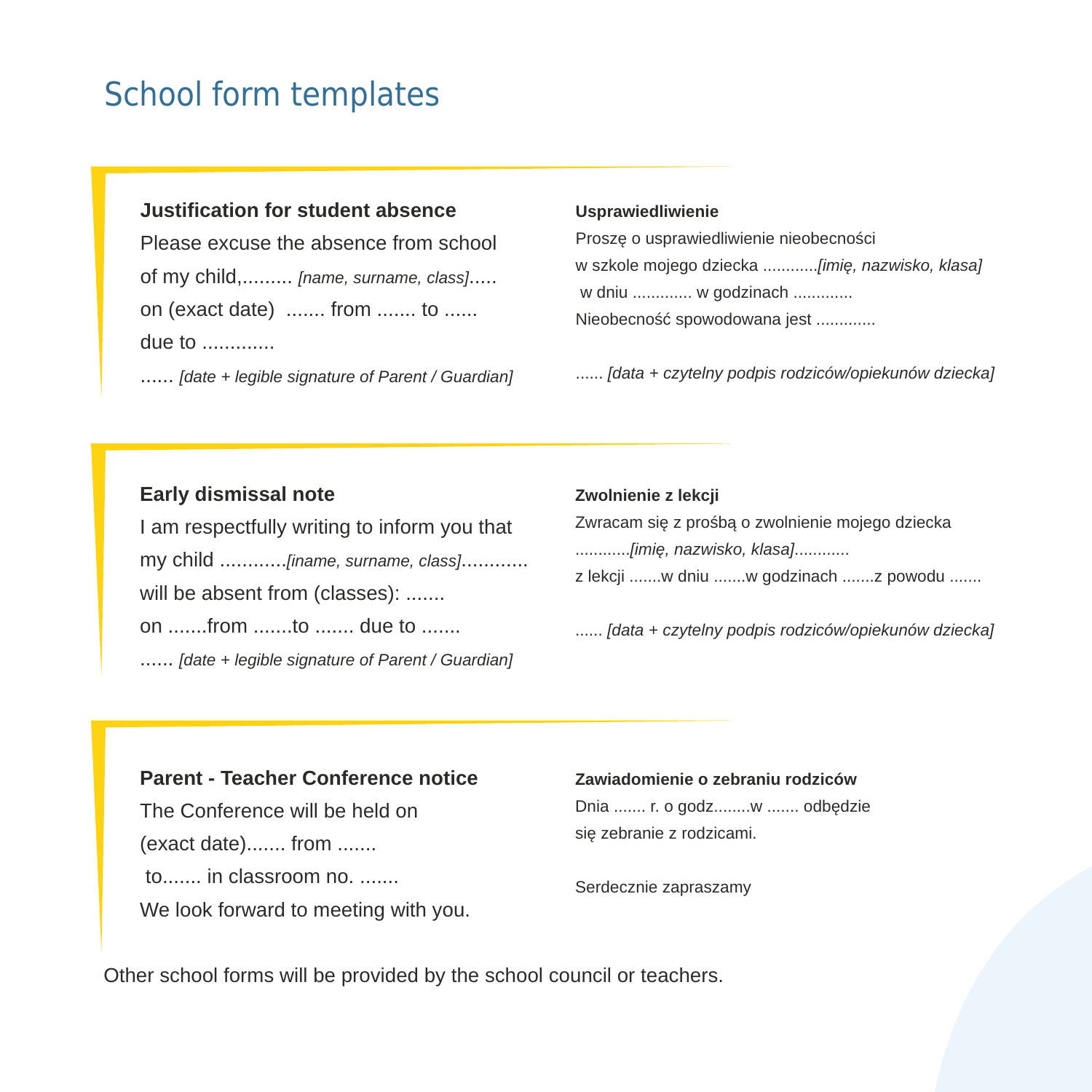# School form templates

#### **Justification for student absence**

Please excuse the absence from school of my child,......... *[name, surname, class]*..... on (exact date) ....... from ....... to ...... due to .............

...... *[date + legible signature of Parent / Guardian]*

#### **Usprawiedliwienie**

Proszę o usprawiedliwienie nieobecności w szkole mojego dziecka ............*[imię, nazwisko, klasa]* w dniu ............. w godzinach ............. Nieobecność spowodowana jest .............

...... *[data + czytelny podpis rodziców/opiekunów dziecka]*

#### **Early dismissal note**

I am respectfully writing to inform you that my child ............*[iname, surname, class]*............ will be absent from (classes): ....... on .......from .......to ....... due to ....... ...... *[date + legible signature of Parent / Guardian]*

#### **Zwolnienie z lekcji**

Zwracam się z prośbą o zwolnienie mojego dziecka ............*[imię, nazwisko, klasa]*............ z lekcji .......w dniu .......w godzinach .......z powodu .......

...... *[data + czytelny podpis rodziców/opiekunów dziecka]*

#### **Parent - Teacher Conference notice**

The Conference will be held on (exact date)....... from ....... to....... in classroom no. ....... We look forward to meeting with you. **Zawiadomienie o zebraniu rodziców** 

Dnia ....... r. o godz........w ....... odbędzie się zebranie z rodzicami.

Serdecznie zapraszamy

Other school forms will be provided by the school council or teachers.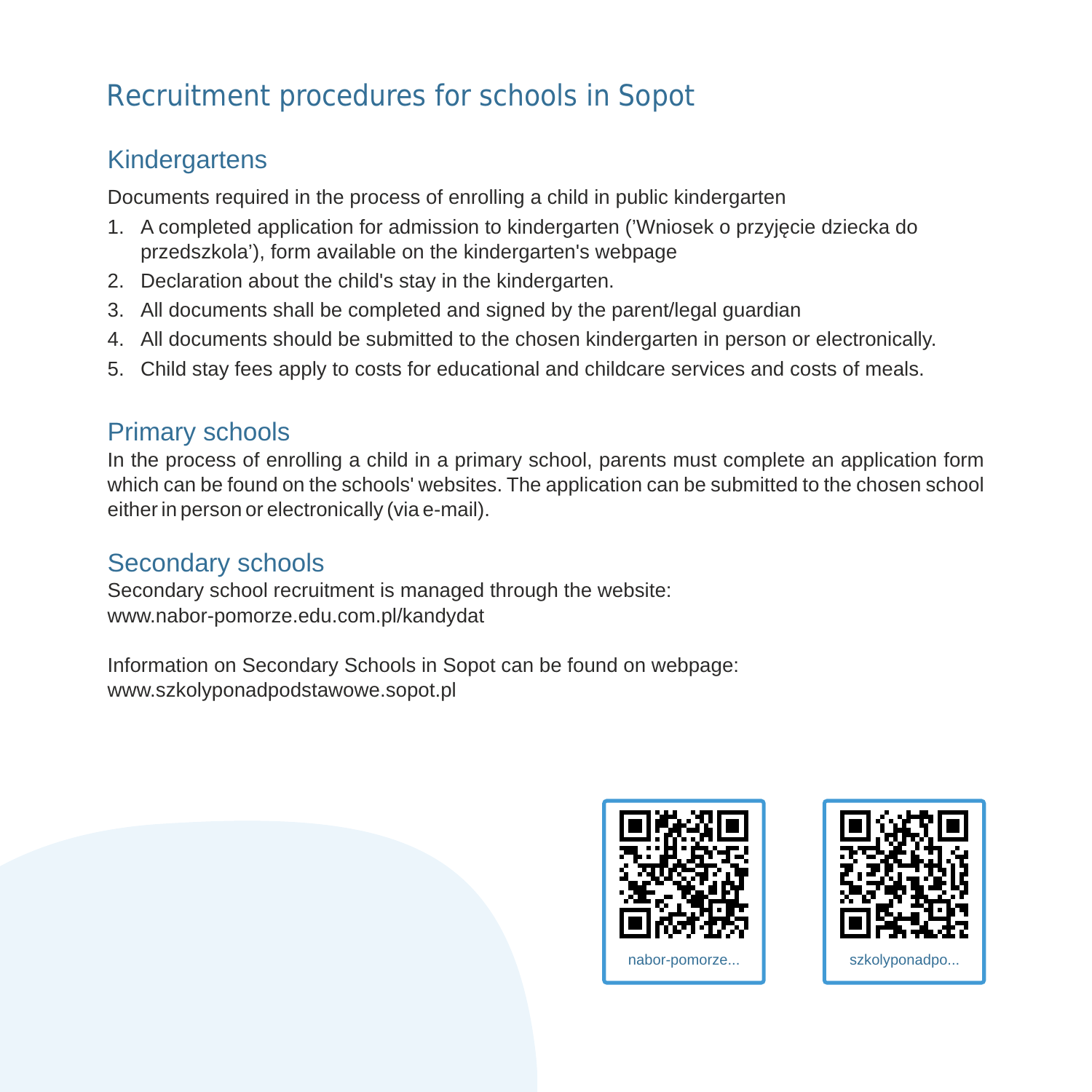# Recruitment procedures for schools in Sopot

# **Kindergartens**

Documents required in the process of enrolling a child in public kindergarten

- 1. A completed application for admission to kindergarten ('Wniosek o przyjęcie dziecka do przedszkola'), form available on the kindergarten's webpage
- 2. Declaration about the child's stay in the kindergarten.
- 3. All documents shall be completed and signed by the parent/legal guardian
- 4. All documents should be submitted to the chosen kindergarten in person or electronically.
- 5. Child stay fees apply to costs for educational and childcare services and costs of meals.

# Primary schools

In the process of enrolling a child in a primary school, parents must complete an application form which can be found on the schools' websites. The application can be submitted to the chosen school either in person or electronically (via e-mail).

## Secondary schools

Secondary school recruitment is managed through the website: www.nabor-pomorze.edu.com.pl/kandydat

Information on Secondary Schools in Sopot can be found on webpage: www.szkolyponadpodstawowe.sopot.pl



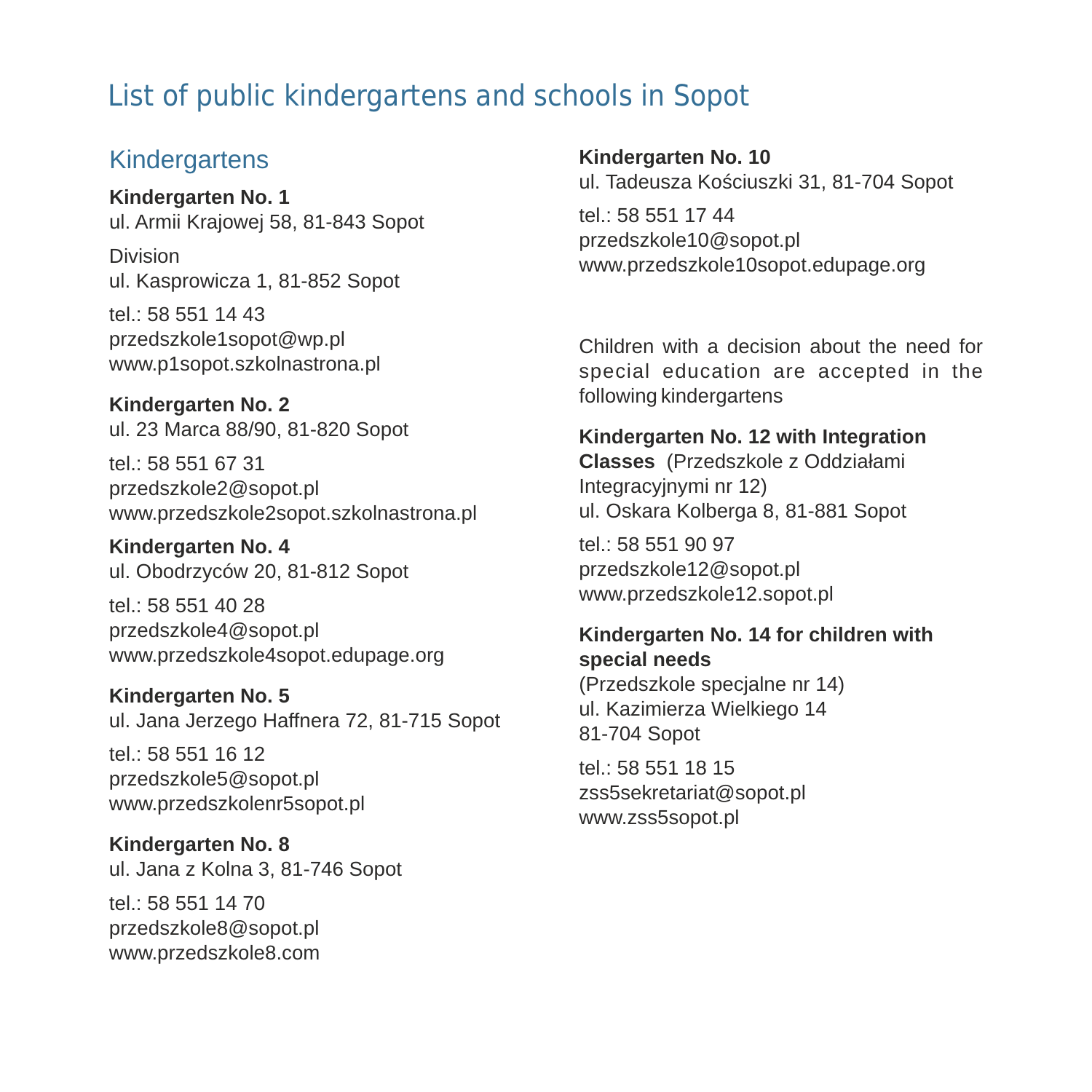# List of public kindergartens and schools in Sopot

## **Kindergartens**

**Kindergarten No. 1** ul. Armii Krajowej 58, 81-843 Sopot

Division ul. Kasprowicza 1, 81-852 Sopot

tel.: 58 551 14 43 przedszkole1sopot@wp.pl www.p1sopot.szkolnastrona.pl

**Kindergarten No. 2** ul. 23 Marca 88/90, 81-820 Sopot

tel.: 58 551 67 31 przedszkole2@sopot.pl www.przedszkole2sopot.szkolnastrona.pl

**Kindergarten No. 4** ul. Obodrzyców 20, 81-812 Sopot

tel.: 58 551 40 28 przedszkole4@sopot.pl www.przedszkole4sopot.edupage.org

**Kindergarten No. 5**  ul. Jana Jerzego Haffnera 72, 81-715 Sopot

tel.: 58 551 16 12 przedszkole5@sopot.pl www.przedszkolenr5sopot.pl

**Kindergarten No. 8**  ul. Jana z Kolna 3, 81-746 Sopot

tel.: 58 551 14 70 przedszkole8@sopot.pl www.przedszkole8.com **Kindergarten No. 10**

ul. Tadeusza Kościuszki 31, 81-704 Sopot

tel.: 58 551 17 44 przedszkole10@sopot.pl www.przedszkole10sopot.edupage.org

Children with a decision about the need for special education are accepted in the following kindergartens

## **Kindergarten No. 12 with Integration**

**Classes** (Przedszkole z Oddziałami Integracyjnymi nr 12) ul. Oskara Kolberga 8, 81-881 Sopot

tel.: 58 551 90 97 przedszkole12@sopot.pl www.przedszkole12.sopot.pl

#### **Kindergarten No. 14 for children with special needs**

(Przedszkole specjalne nr 14) ul. Kazimierza Wielkiego 14 81-704 Sopot

tel.: 58 551 18 15 zss5sekretariat@sopot.pl www.zss5sopot.pl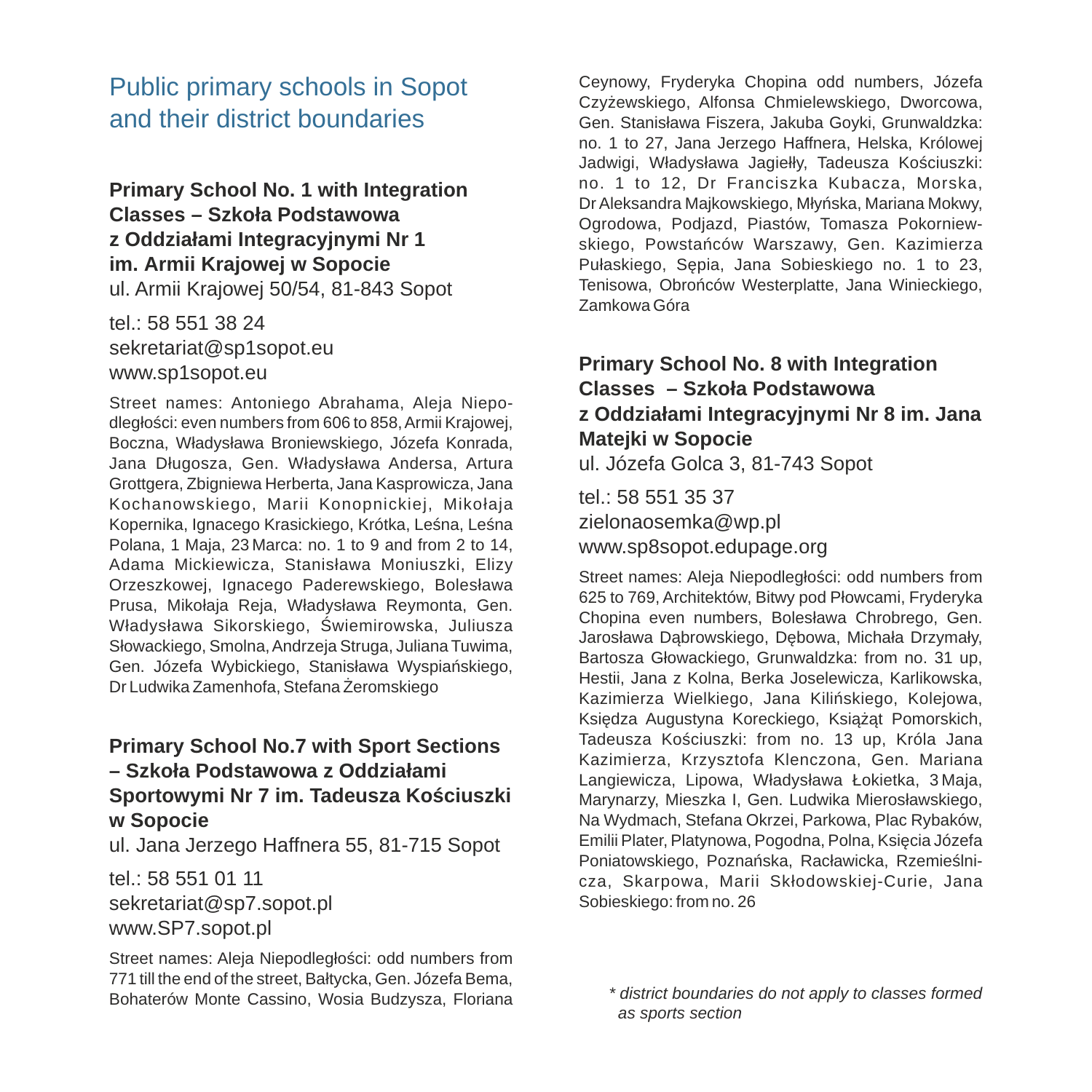# Public primary schools in Sopot and their district boundaries

**Primary School No. 1 with Integration Classes – Szkoła Podstawowa z Oddziałami Integracyjnymi Nr 1 im. Armii Krajowej w Sopocie** ul. Armii Krajowej 50/54, 81-843 Sopot

tel.: 58 551 38 24 sekretariat@sp1sopot.eu www.sp1sopot.eu

Street names: Antoniego Abrahama, Aleja Niepodległości: even numbers from 606 to 858, Armii Krajowej, Boczna, Władysława Broniewskiego, Józefa Konrada, Jana Długosza, Gen. Władysława Andersa, Artura Grottgera, Zbigniewa Herberta, Jana Kasprowicza, Jana Kochanowskiego, Marii Konopnickiej, Mikołaja Kopernika, Ignacego Krasickiego, Krótka, Leśna, Leśna Polana, 1 Maja, 23 Marca: no. 1 to 9 and from 2 to 14, Adama Mickiewicza, Stanisława Moniuszki, Elizy Orzeszkowej, Ignacego Paderewskiego, Bolesława Prusa, Mikołaja Reja, Władysława Reymonta, Gen. Władysława Sikorskiego, Świemirowska, Juliusza Słowackiego, Smolna, Andrzeja Struga, Juliana Tuwima, Gen. Józefa Wybickiego, Stanisława Wyspiańskiego, Dr Ludwika Zamenhofa, Stefana Żeromskiego

### **Primary School No.7 with Sport Sections – Szkoła Podstawowa z Oddziałami Sportowymi Nr 7 im. Tadeusza Kościuszki w Sopocie**

ul. Jana Jerzego Haffnera 55, 81-715 Sopot

tel.: 58 551 01 11 sekretariat@sp7.sopot.pl www.SP7.sopot.pl

Street names: Aleja Niepodległości: odd numbers from 771 till the end of the street, Bałtycka, Gen. Józefa Bema, Bohaterów Monte Cassino, Wosia Budzysza, Floriana Ceynowy, Fryderyka Chopina odd numbers, Józefa Czyżewskiego, Alfonsa Chmielewskiego, Dworcowa, Gen. Stanisława Fiszera, Jakuba Goyki, Grunwaldzka: no. 1 to 27, Jana Jerzego Haffnera, Helska, Królowej Jadwigi, Władysława Jagiełły, Tadeusza Kościuszki: no. 1 to 12, Dr Franciszka Kubacza, Morska, Dr Aleksandra Majkowskiego, Młyńska, Mariana Mokwy, Ogrodowa, Podjazd, Piastów, Tomasza Pokorniewskiego, Powstańców Warszawy, Gen. Kazimierza Pułaskiego, Sępia, Jana Sobieskiego no. 1 to 23, Tenisowa, Obrońców Westerplatte, Jana Winieckiego, Zamkowa Góra

### **Primary School No. 8 with Integration Classes – Szkoła Podstawowa z Oddziałami Integracyjnymi Nr 8 im. Jana Matejki w Sopocie**

ul. Józefa Golca 3, 81-743 Sopot

tel.: 58 551 35 37 zielonaosemka@wp.pl www.sp8sopot.edupage.org

Street names: Aleja Niepodległości: odd numbers from 625 to 769, Architektów, Bitwy pod Płowcami, Fryderyka Chopina even numbers, Bolesława Chrobrego, Gen. Jarosława Dąbrowskiego, Dębowa, Michała Drzymały, Bartosza Głowackiego, Grunwaldzka: from no. 31 up, Hestii, Jana z Kolna, Berka Joselewicza, Karlikowska, Kazimierza Wielkiego, Jana Kilińskiego, Kolejowa, Księdza Augustyna Koreckiego, Książąt Pomorskich, Tadeusza Kościuszki: from no. 13 up, Króla Jana Kazimierza, Krzysztofa Klenczona, Gen. Mariana Langiewicza, Lipowa, Władysława Łokietka, 3 Maja, Marynarzy, Mieszka I, Gen. Ludwika Mierosławskiego, Na Wydmach, Stefana Okrzei, Parkowa, Plac Rybaków, Emilii Plater, Platynowa, Pogodna, Polna, Księcia Józefa Poniatowskiego, Poznańska, Racławicka, Rzemieślnicza, Skarpowa, Marii Skłodowskiej-Curie, Jana Sobieskiego: from no. 26

*<sup>\*</sup> district boundaries do not apply to classes formed as sports section*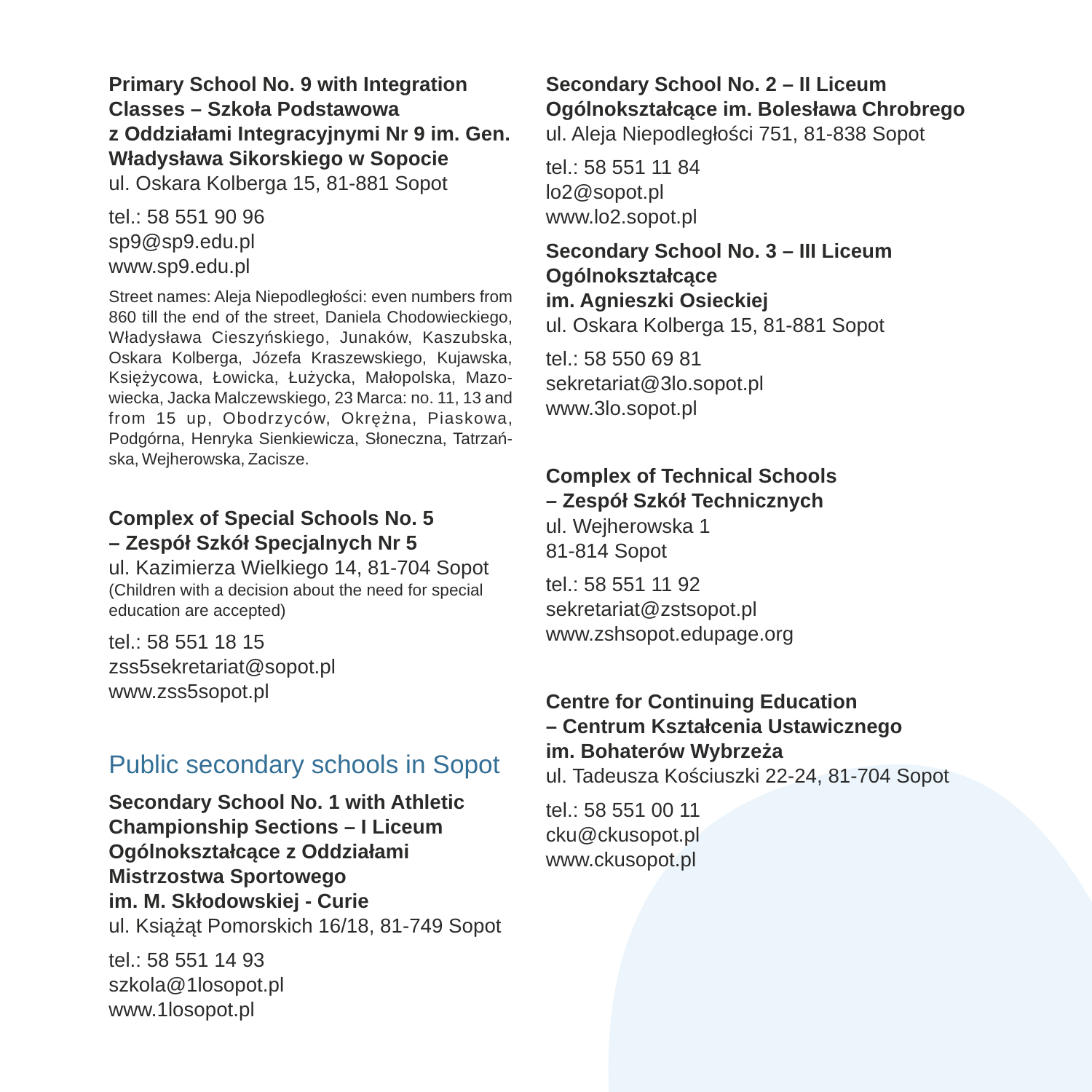**Primary School No. 9 with Integration Classes – Szkoła Podstawowa z Oddziałami Integracyjnymi Nr 9 im. Gen. Władysława Sikorskiego w Sopocie** ul. Oskara Kolberga 15, 81-881 Sopot

tel.: 58 551 90 96 sp9@sp9.edu.pl www.sp9.edu.pl

Street names: Aleja Niepodległości: even numbers from 860 till the end of the street, Daniela Chodowieckiego, Władysława Cieszyńskiego, Junaków, Kaszubska, Oskara Kolberga, Józefa Kraszewskiego, Kujawska, Księżycowa, Łowicka, Łużycka, Małopolska, Mazowiecka, Jacka Malczewskiego, 23 Marca: no. 11, 13 and from 15 up, Obodrzyców, Okrężna, Piaskowa, Podgórna, Henryka Sienkiewicza, Słoneczna, Tatrzańska, Wejherowska, Zacisze.

#### **Complex of Special Schools No. 5 – Zespół Szkół Specjalnych Nr 5**

ul. Kazimierza Wielkiego 14, 81-704 Sopot (Children with a decision about the need for special education are accepted)

tel.: 58 551 18 15 zss5sekretariat@sopot.pl www.zss5sopot.pl

## Public secondary schools in Sopot

**Secondary School No. 1 with Athletic Championship Sections – I Liceum Ogólnokształcące z Oddziałami Mistrzostwa Sportowego im. M. Skłodowskiej - Curie** ul. Książąt Pomorskich 16/18, 81-749 Sopot

tel.: 58 551 14 93 szkola@1losopot.pl www.1losopot.pl

### **Secondary School No. 2 – II Liceum Ogólnokształcące im. Bolesława Chrobrego**  ul. Aleja Niepodległości 751, 81-838 Sopot

tel.: 58 551 11 84 lo2@sopot.pl www.lo2.sopot.pl

**Secondary School No. 3 – III Liceum Ogólnokształcące im. Agnieszki Osieckiej** ul. Oskara Kolberga 15, 81-881 Sopot

tel.: 58 550 69 81 sekretariat@3lo.sopot.pl www.3lo.sopot.pl

## **Complex of Technical Schools**

**– Zespół Szkół Technicznych** ul. Wejherowska 1 81-814 Sopot

tel.: 58 551 11 92 sekretariat@zstsopot.pl www.zshsopot.edupage.org

### **Centre for Continuing Education – Centrum Kształcenia Ustawicznego im. Bohaterów Wybrzeża**

ul. Tadeusza Kościuszki 22-24, 81-704 Sopot

tel.: 58 551 00 11 cku@ckusopot.pl www.ckusopot.pl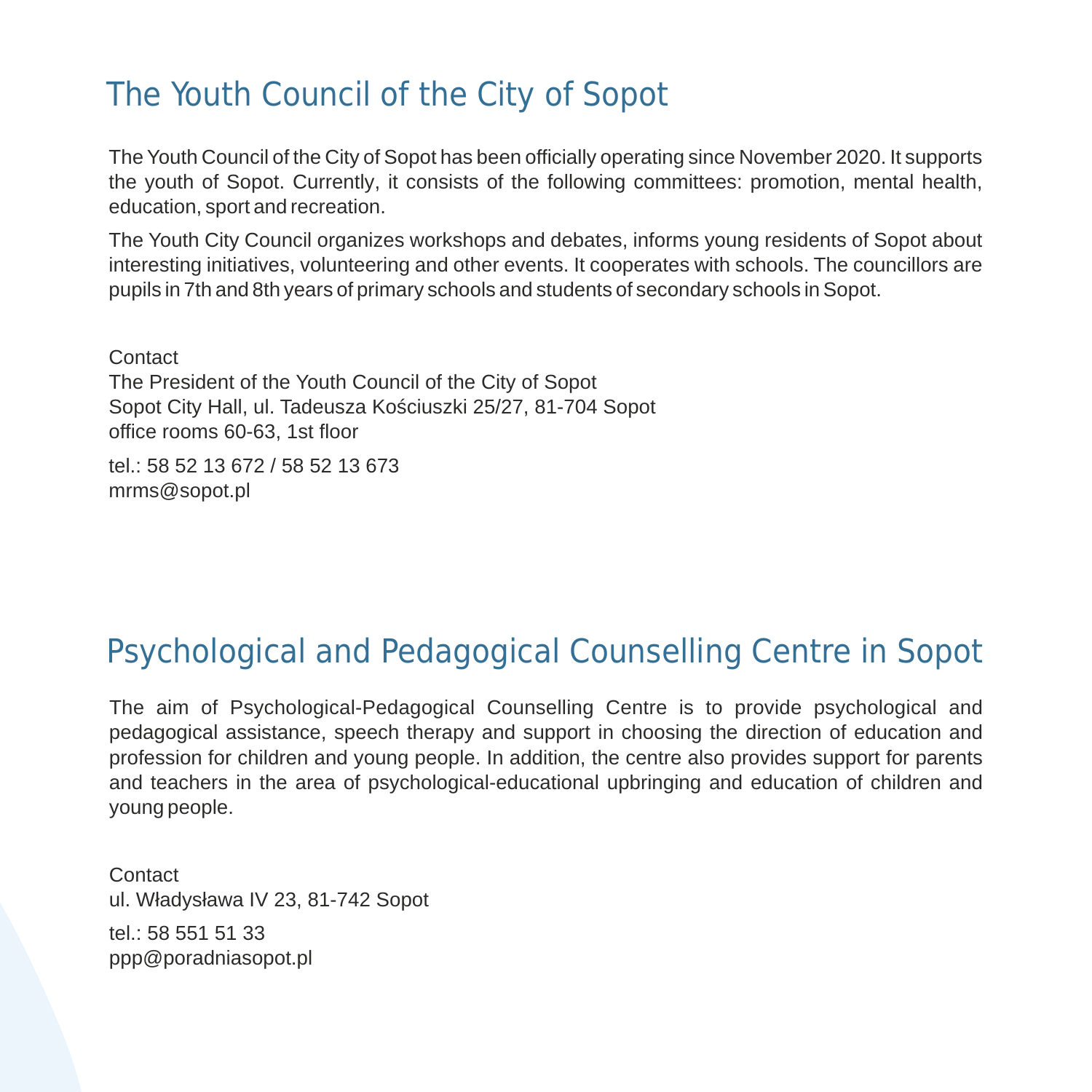# The Youth Council of the City of Sopot

The Youth Council of the City of Sopot has been officially operating since November 2020. It supports the youth of Sopot. Currently, it consists of the following committees: promotion, mental health, education, sport and recreation.

The Youth City Council organizes workshops and debates, informs young residents of Sopot about interesting initiatives, volunteering and other events. It cooperates with schools. The councillors are pupils in 7th and 8th years of primary schools and students of secondary schools in Sopot.

**Contact** The President of the Youth Council of the City of Sopot Sopot City Hall, ul. Tadeusza Kościuszki 25/27, 81-704 Sopot office rooms 60-63, 1st floor

tel.: 58 52 13 672 / 58 52 13 673 mrms@sopot.pl

# Psychological and Pedagogical Counselling Centre in Sopot

The aim of Psychological-Pedagogical Counselling Centre is to provide psychological and pedagogical assistance, speech therapy and support in choosing the direction of education and profession for children and young people. In addition, the centre also provides support for parents and teachers in the area of psychological-educational upbringing and education of children and young people.

**Contact** ul. Władysława IV 23, 81-742 Sopot tel.: 58 551 51 33

ppp@poradniasopot.pl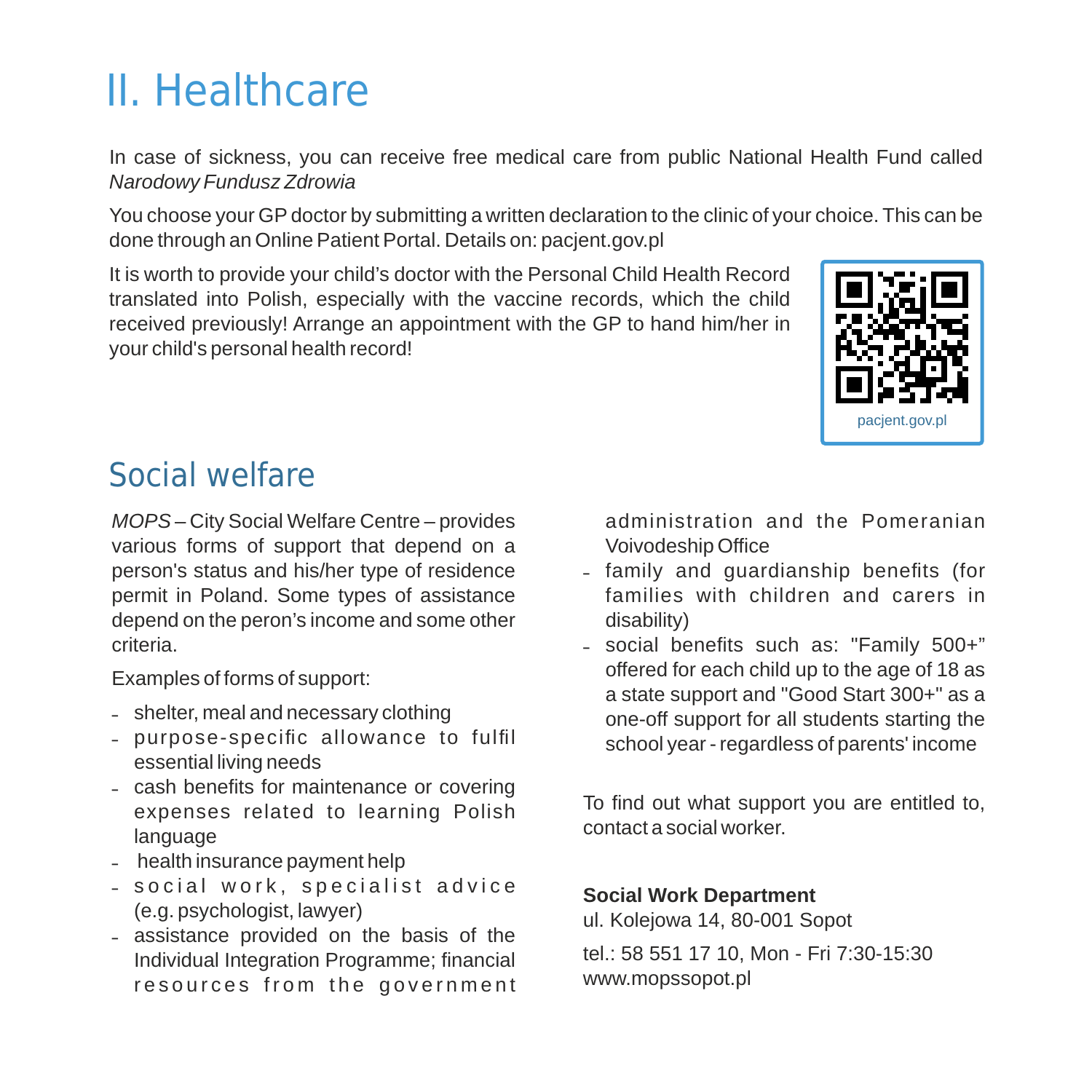# II. Healthcare

In case of sickness, you can receive free medical care from public National Health Fund called *Narodowy Fundusz Zdrowia*

You choose your GP doctor by submitting a written declaration to the clinic of your choice. This can be done through an Online Patient Portal. Details on: pacjent.gov.pl

It is worth to provide your child's doctor with the Personal Child Health Record translated into Polish, especially with the vaccine records, which the child received previously! Arrange an appointment with the GP to hand him/her in your child's personal health record!



# Social welfare

*MOPS* – City Social Welfare Centre – provides various forms of support that depend on a person's status and his/her type of residence permit in Poland. Some types of assistance depend on the peron's income and some other criteria.

Examples of forms of support:

- shelter, meal and necessary clothing
- ˗ purpose-specific allowance to fulfil essential living needs
- cash benefits for maintenance or covering expenses related to learning Polish language
- health insurance payment help
- social work, specialist advice (e.g. psychologist, lawyer)
- ˗ assistance provided on the basis of the Individual Integration Programme; financial resources from the government

administration and the Pomeranian Voivodeship Office

- ˗ family and guardianship benefits (for families with children and carers in disability)
- ˗ social benefits such as: "Family 500+" offered for each child up to the age of 18 as a state support and "Good Start 300+" as a one-off support for all students starting the school year - regardless of parents' income

To find out what support you are entitled to, contact a social worker.

### **Social Work Department**

ul. Kolejowa 14, 80-001 Sopot

tel.: 58 551 17 10, Mon - Fri 7:30-15:30 www.mopssopot.pl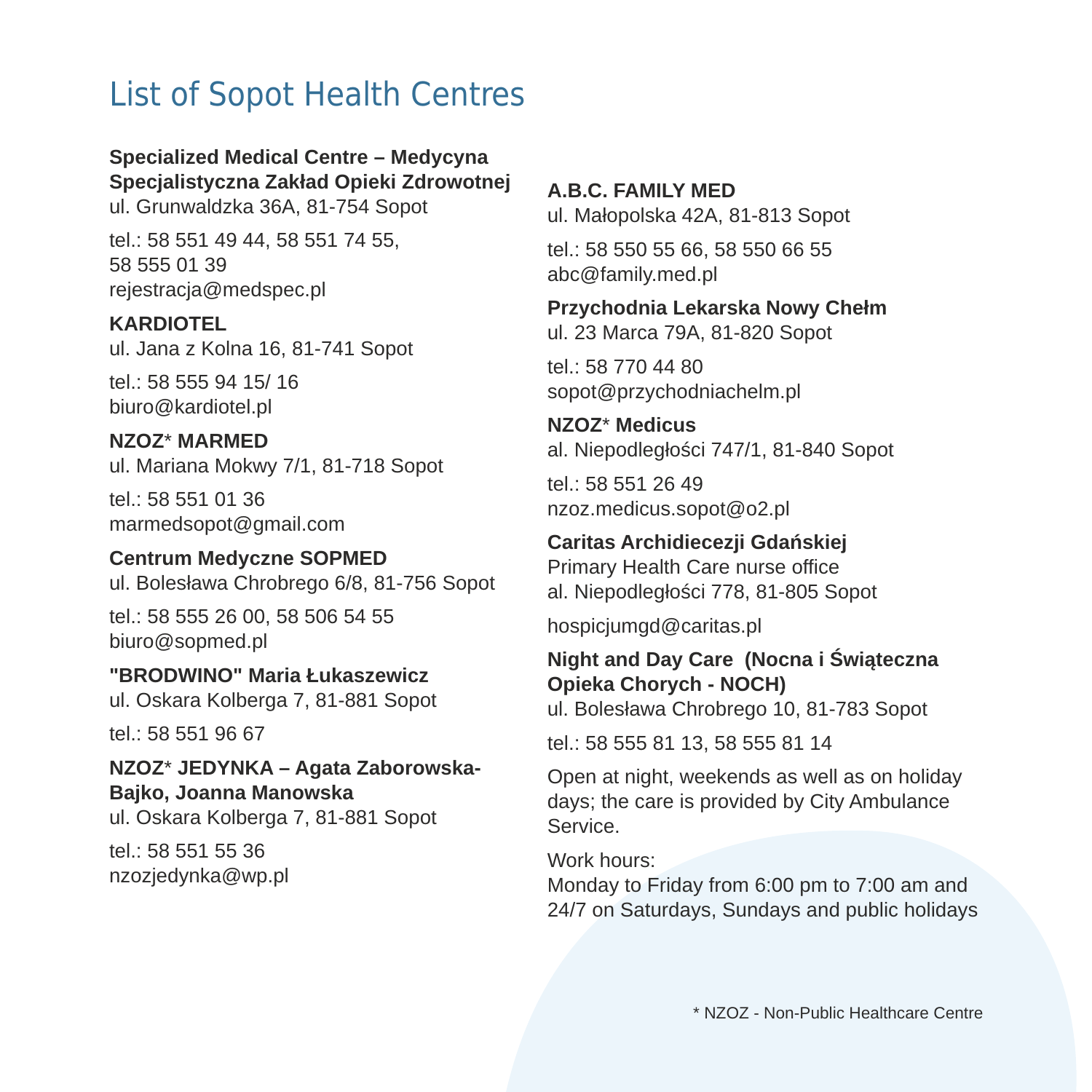# List of Sopot Health Centres

#### **Specialized Medical Centre – Medycyna Specjalistyczna Zakład Opieki Zdrowotnej**

ul. Grunwaldzka 36A, 81-754 Sopot

tel.: 58 551 49 44, 58 551 74 55, 58 555 01 39 rejestracja@medspec.pl

#### **KARDIOTEL**

ul. Jana z Kolna 16, 81-741 Sopot

tel.: 58 555 94 15/ 16 biuro@kardiotel.pl

#### **NZOZ**\* **MARMED**

ul. Mariana Mokwy 7/1, 81-718 Sopot

tel.: 58 551 01 36 marmedsopot@gmail.com

**Centrum Medyczne SOPMED** ul. Bolesława Chrobrego 6/8, 81-756 Sopot

tel.: 58 555 26 00, 58 506 54 55 biuro@sopmed.pl

#### **"BRODWINO" Maria Łukaszewicz** ul. Oskara Kolberga 7, 81-881 Sopot

tel.: 58 551 96 67

**NZOZ**\* **JEDYNKA – Agata Zaborowska-Bajko, Joanna Manowska** ul. Oskara Kolberga 7, 81-881 Sopot

tel.: 58 551 55 36 nzozjedynka@wp.pl

#### **A.B.C. FAMILY MED** ul. Małopolska 42A, 81-813 Sopot

tel.: 58 550 55 66, 58 550 66 55 abc@family.med.pl

#### **Przychodnia Lekarska Nowy Chełm** ul. 23 Marca 79A, 81-820 Sopot

tel.: 58 770 44 80 sopot@przychodniachelm.pl

### **NZOZ**\* **Medicus** al. Niepodległości 747/1, 81-840 Sopot

tel.: 58 551 26 49 nzoz.medicus.sopot@o2.pl

### **Caritas Archidiecezji Gdańskiej**

Primary Health Care nurse office al. Niepodległości 778, 81-805 Sopot

hospicjumgd@caritas.pl

# **Night and Day Care (Nocna i Świąteczna Opieka Chorych - NOCH)**

ul. Bolesława Chrobrego 10, 81-783 Sopot

tel.: 58 555 81 13, 58 555 81 14

### Open at night, weekends as well as on holiday days; the care is provided by City Ambulance Service.

Work hours:

Monday to Friday from 6:00 pm to 7:00 am and 24/7 on Saturdays, Sundays and public holidays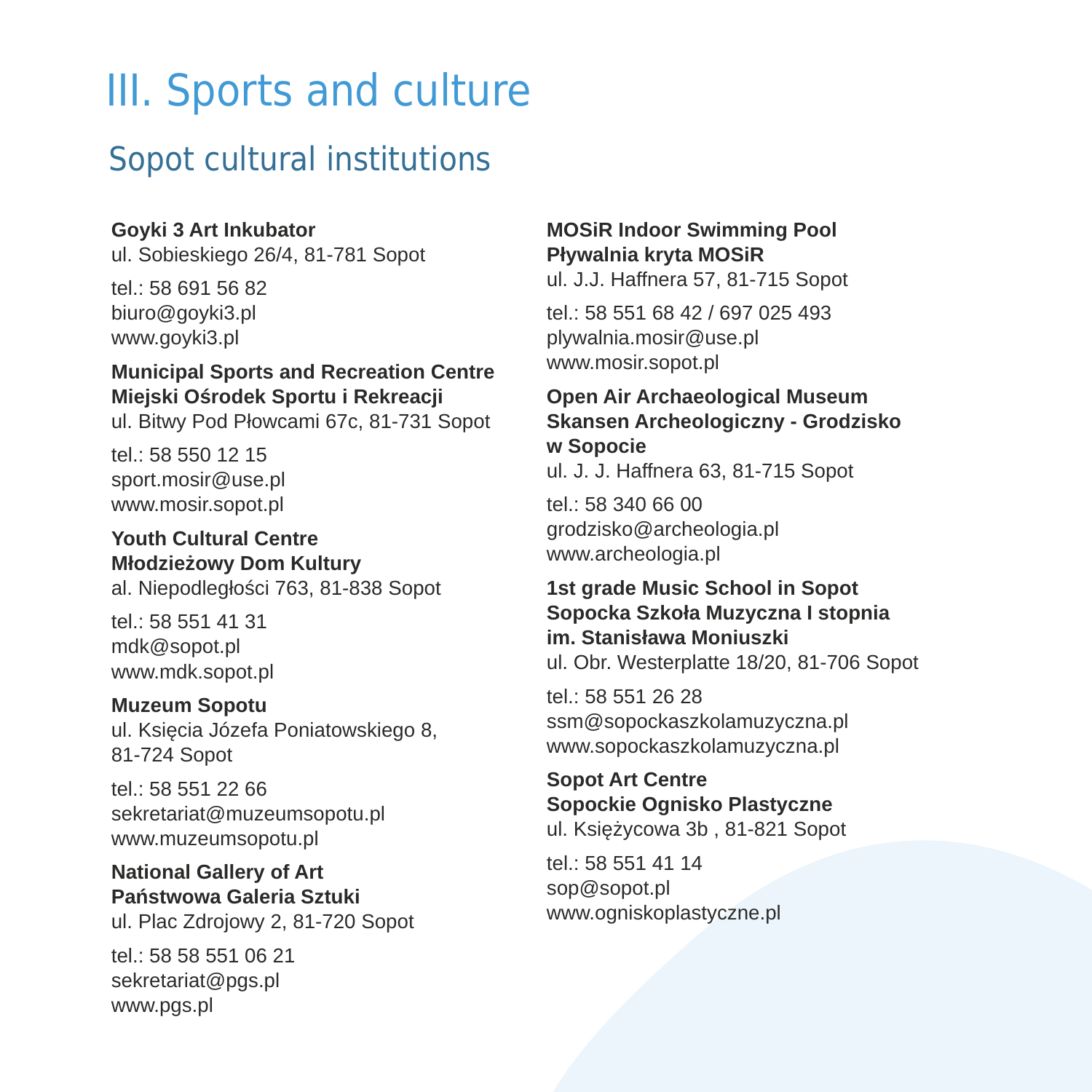# III. Sports and culture

# Sopot cultural institutions

### **Goyki 3 Art Inkubator**

ul. Sobieskiego 26/4, 81-781 Sopot

tel.: 58 691 56 82 biuro@goyki3.pl www.goyki3.pl

### **Municipal Sports and Recreation Centre Miejski Ośrodek Sportu i Rekreacji**

ul. Bitwy Pod Płowcami 67c, 81-731 Sopot

tel.: 58 550 12 15 sport.mosir@use.pl www.mosir.sopot.pl

**Youth Cultural Centre Młodzieżowy Dom Kultury** al. Niepodległości 763, 81-838 Sopot

tel.: 58 551 41 31 mdk@sopot.pl www.mdk.sopot.pl

#### **Muzeum Sopotu**

ul. Księcia Józefa Poniatowskiego 8, 81-724 Sopot

tel.: 58 551 22 66 sekretariat@muzeumsopotu.pl www.muzeumsopotu.pl

### **National Gallery of Art Państwowa Galeria Sztuki**

ul. Plac Zdrojowy 2, 81-720 Sopot

tel.: 58 58 551 06 21 sekretariat@pgs.pl www.pgs.pl

### **MOSiR Indoor Swimming Pool Pływalnia kryta MOSiR**

ul. J.J. Haffnera 57, 81-715 Sopot

tel.: 58 551 68 42 / 697 025 493 plywalnia.mosir@use.pl www.mosir.sopot.pl

### **Open Air Archaeological Museum Skansen Archeologiczny - Grodzisko w Sopocie**

ul. J. J. Haffnera 63, 81-715 Sopot

tel.: 58 340 66 00 grodzisko@archeologia.pl www.archeologia.pl

### **1st grade Music School in Sopot Sopocka Szkoła Muzyczna I stopnia im. Stanisława Moniuszki**  ul. Obr. Westerplatte 18/20, 81-706 Sopot

tel.: 58 551 26 28 ssm@sopockaszkolamuzyczna.pl www.sopockaszkolamuzyczna.pl

**Sopot Art Centre Sopockie Ognisko Plastyczne** ul. Księżycowa 3b , 81-821 Sopot

tel.: 58 551 41 14 sop@sopot.pl www.ogniskoplastyczne.pl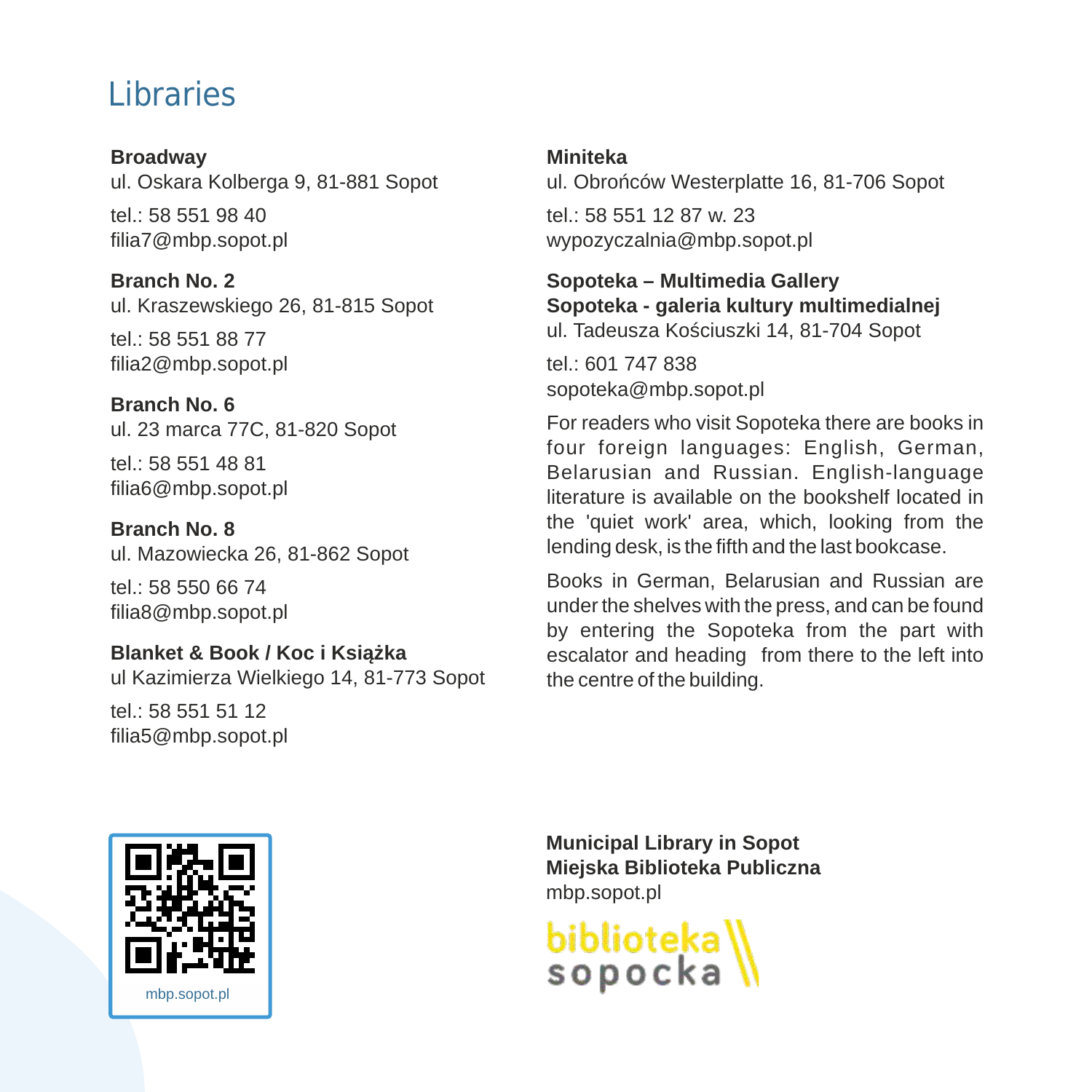# Libraries

**Broadway** ul. Oskara Kolberga 9, 81-881 Sopot tel.: 58 551 98 40

filia7@mbp.sopot.pl **Branch No. 2**

ul. Kraszewskiego 26, 81-815 Sopot

tel.: 58 551 88 77 filia2@mbp.sopot.pl

**Branch No. 6**  ul. 23 marca 77C, 81-820 Sopot

tel.: 58 551 48 81 filia6@mbp.sopot.pl

**Branch No. 8** ul. Mazowiecka 26, 81-862 Sopot

tel.: 58 550 66 74 filia8@mbp.sopot.pl

**Blanket & Book / Koc i Książka**

ul Kazimierza Wielkiego 14, 81-773 Sopot

tel.: 58 551 51 12 filia5@mbp.sopot.pl

### **Miniteka**

ul. Obrońców Westerplatte 16, 81-706 Sopot

tel.: 58 551 12 87 w. 23 wypozyczalnia@mbp.sopot.pl

## **Sopoteka – Multimedia Gallery Sopoteka - galeria kultury multimedialnej**

ul. Tadeusza Kościuszki 14, 81-704 Sopot

tel.: 601 747 838 sopoteka@mbp.sopot.pl

For readers who visit Sopoteka there are books in four foreign languages: English, German, Belarusian and Russian. English-language literature is available on the bookshelf located in the 'quiet work' area, which, looking from the lending desk, is the fifth and the last bookcase.

Books in German, Belarusian and Russian are under the shelves with the press, and can be found by entering the Sopoteka from the part with escalator and heading from there to the left into the centre of the building.



**Municipal Library in Sopot Miejska Biblioteka Publiczna** mbp.sopot.pl

biblioteka\<br>sopocka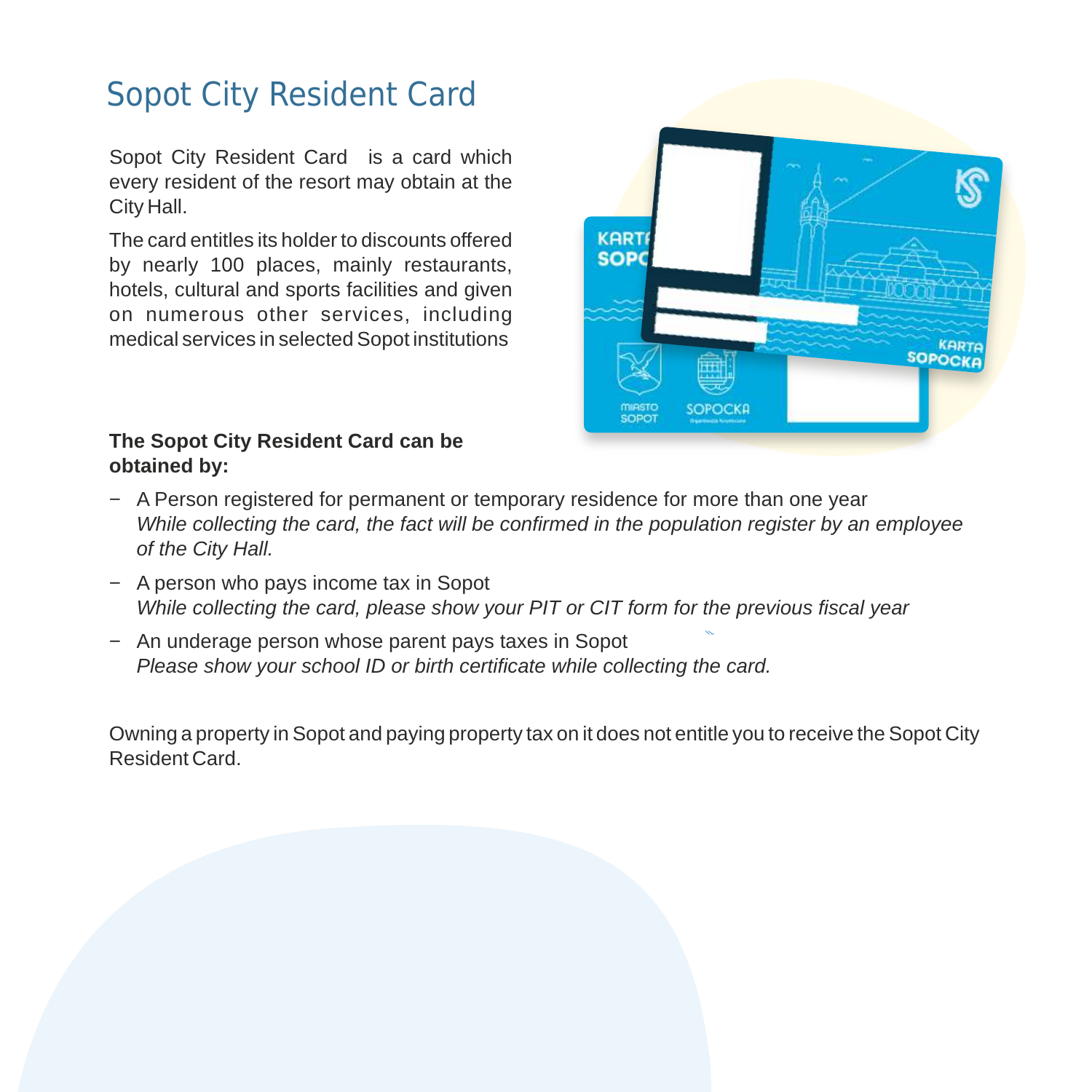# Sopot City Resident Card

Sopot City Resident Card is a card which every resident of the resort may obtain at the City Hall.

The card entitles its holder to discounts offered by nearly 100 places, mainly restaurants, hotels, cultural and sports facilities and given on numerous other services, including medical services in selected Sopot institutions

### **The Sopot City Resident Card can be obtained by:**



- − A Person registered for permanent or temporary residence for more than one year *While collecting the card, the fact will be confirmed in the population register by an employee of the City Hall.*
- − A person who pays income tax in Sopot *While collecting the card, please show your PIT or CIT form for the previous fiscal year*
- − An underage person whose parent pays taxes in Sopot *Please show your school ID or birth certificate while collecting the card.*

Owning a property in Sopot and paying property tax on it does not entitle you to receive the Sopot City Resident Card.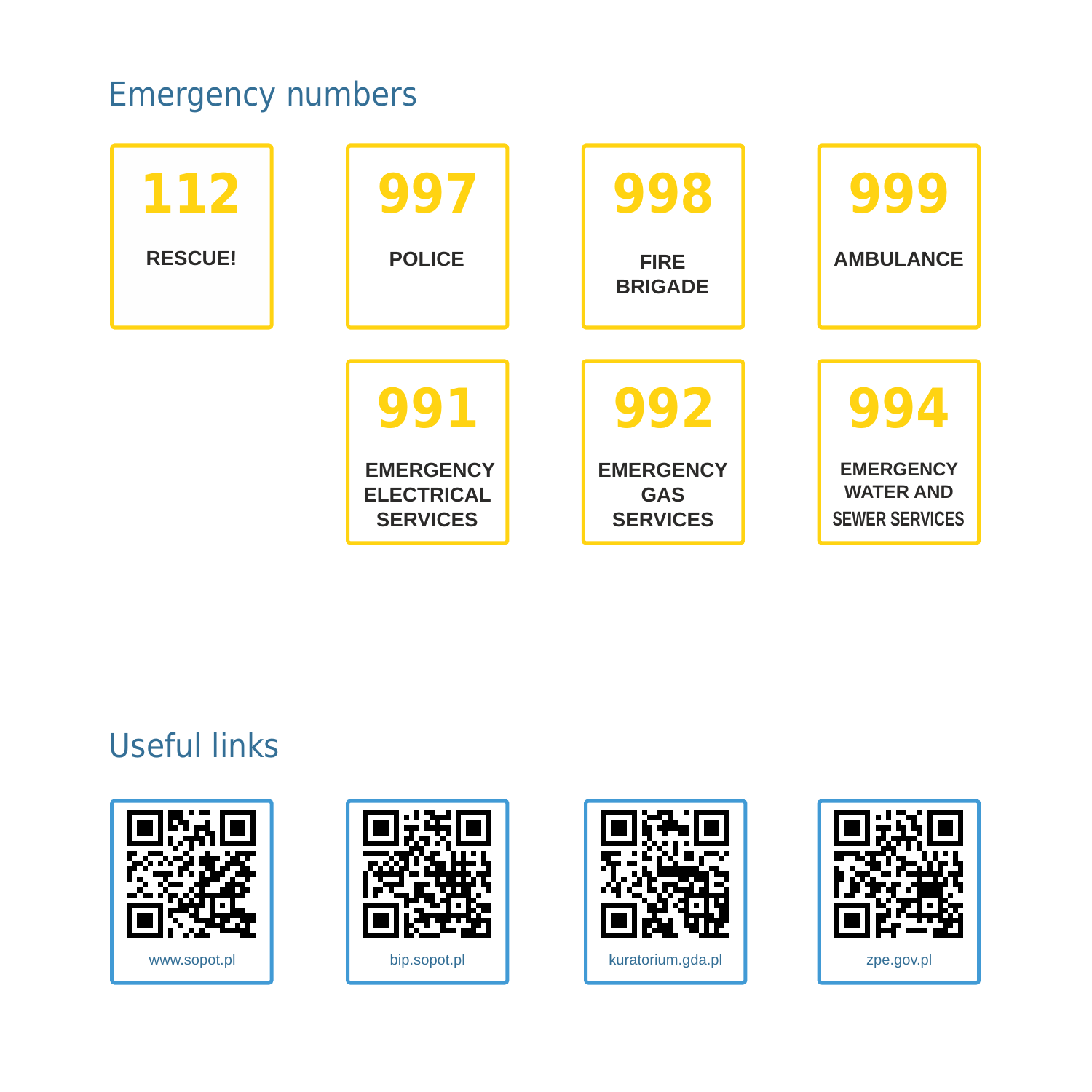# Emergency numbers

| 112<br><b>RESCUE!</b> | 997<br><b>POLICE</b>                                            | 998<br><b>FIRE</b><br><b>BRIGADE</b>                     | <b>AMBULANCE</b>                                              |
|-----------------------|-----------------------------------------------------------------|----------------------------------------------------------|---------------------------------------------------------------|
|                       | 991<br><b>EMERGENCY</b><br><b>ELECTRICAL</b><br><b>SERVICES</b> | 992<br><b>EMERGENCY</b><br><b>GAS</b><br><b>SERVICES</b> | <b>EMERGENCY</b><br><b>WATER AND</b><br><b>SEWER SERVICES</b> |

# Useful links